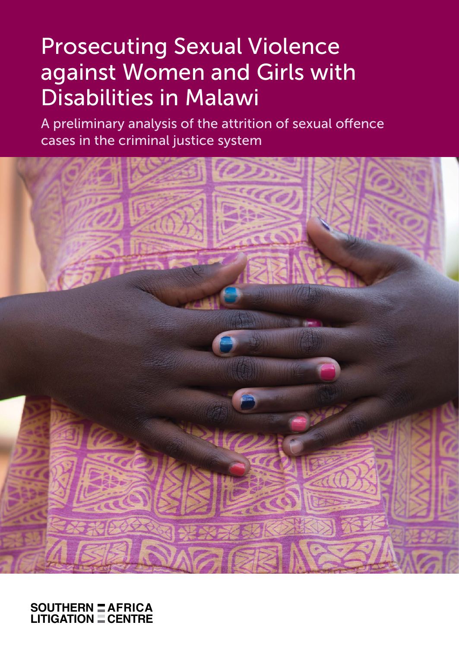# **Prosecuting Sexual Violence** against Women and Girls with Disabilities in Malawi

A preliminary analysis of the attrition of sexual offence cases in the criminal justice system

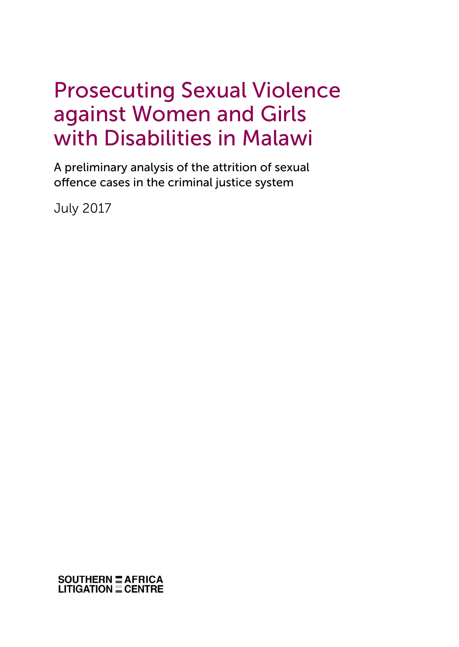## Prosecuting Sexual Violence against Women and Girls with Disabilities in Malawi

A preliminary analysis of the attrition of sexual offence cases in the criminal justice system

July 2017

**SOUTHERN E AFRICA<br>LITIGATION E CENTRE**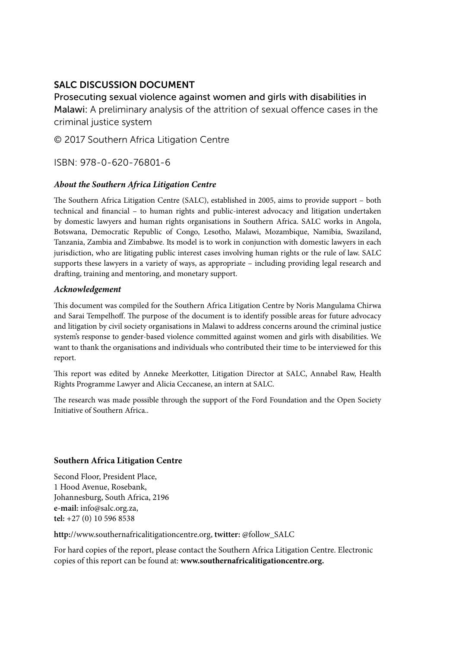#### SALC DISCUSSION DOCUMENT

Prosecuting sexual violence against women and girls with disabilities in Malawi: A preliminary analysis of the attrition of sexual offence cases in the criminal justice system

© 2017 Southern Africa Litigation Centre

ISBN: 978-0-620-76801-6

#### *About the Southern Africa Litigation Centre*

The Southern Africa Litigation Centre (SALC), established in 2005, aims to provide support – both technical and financial – to human rights and public-interest advocacy and litigation undertaken by domestic lawyers and human rights organisations in Southern Africa. SALC works in Angola, Botswana, Democratic Republic of Congo, Lesotho, Malawi, Mozambique, Namibia, Swaziland, Tanzania, Zambia and Zimbabwe. Its model is to work in conjunction with domestic lawyers in each jurisdiction, who are litigating public interest cases involving human rights or the rule of law. SALC supports these lawyers in a variety of ways, as appropriate – including providing legal research and drafting, training and mentoring, and monetary support.

#### *Acknowledgement*

This document was compiled for the Southern Africa Litigation Centre by Noris Mangulama Chirwa and Sarai Tempelhoff. The purpose of the document is to identify possible areas for future advocacy and litigation by civil society organisations in Malawi to address concerns around the criminal justice system's response to gender-based violence committed against women and girls with disabilities. We want to thank the organisations and individuals who contributed their time to be interviewed for this report.

This report was edited by Anneke Meerkotter, Litigation Director at SALC, Annabel Raw, Health Rights Programme Lawyer and Alicia Ceccanese, an intern at SALC.

The research was made possible through the support of the Ford Foundation and the Open Society Initiative of Southern Africa..

#### **Southern Africa Litigation Centre**

Second Floor, President Place, 1 Hood Avenue, Rosebank, Johannesburg, South Africa, 2196 **e-mail:** info@salc.org.za, **tel:** +27 (0) 10 596 8538

**http:**//www.southernafricalitigationcentre.org, **twitter:** @follow\_SALC

For hard copies of the report, please contact the Southern Africa Litigation Centre. Electronic copies of this report can be found at: **www.southernafricalitigationcentre.org.**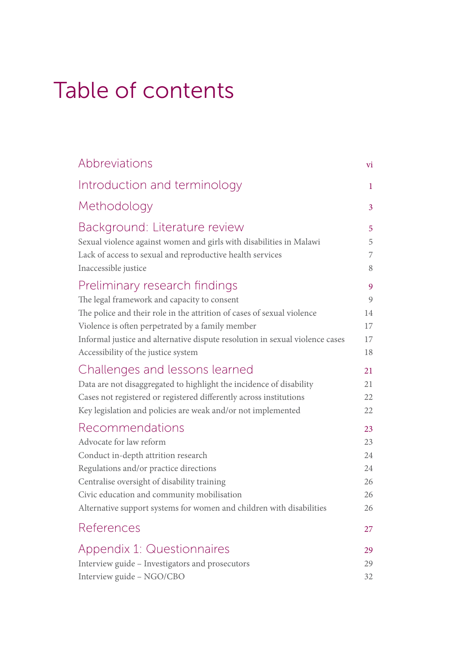# Table of contents

| Abbreviations                                                                | vi |
|------------------------------------------------------------------------------|----|
| Introduction and terminology                                                 | 1  |
| Methodology                                                                  | 3  |
| Background: Literature review                                                | 5  |
| Sexual violence against women and girls with disabilities in Malawi          | 5  |
| Lack of access to sexual and reproductive health services                    | 7  |
| Inaccessible justice                                                         | 8  |
| Preliminary research findings                                                | 9  |
| The legal framework and capacity to consent                                  | 9  |
| The police and their role in the attrition of cases of sexual violence       | 14 |
| Violence is often perpetrated by a family member                             | 17 |
| Informal justice and alternative dispute resolution in sexual violence cases | 17 |
| Accessibility of the justice system                                          | 18 |
| Challenges and lessons learned                                               | 21 |
| Data are not disaggregated to highlight the incidence of disability          | 21 |
| Cases not registered or registered differently across institutions           | 22 |
| Key legislation and policies are weak and/or not implemented                 | 22 |
| Recommendations                                                              | 23 |
| Advocate for law reform                                                      | 23 |
| Conduct in-depth attrition research                                          | 24 |
| Regulations and/or practice directions                                       | 24 |
| Centralise oversight of disability training                                  | 26 |
| Civic education and community mobilisation                                   | 26 |
| Alternative support systems for women and children with disabilities         | 26 |
| References                                                                   | 27 |
| Appendix 1: Questionnaires                                                   | 29 |
| Interview guide - Investigators and prosecutors                              | 29 |
| Interview guide - NGO/CBO                                                    | 32 |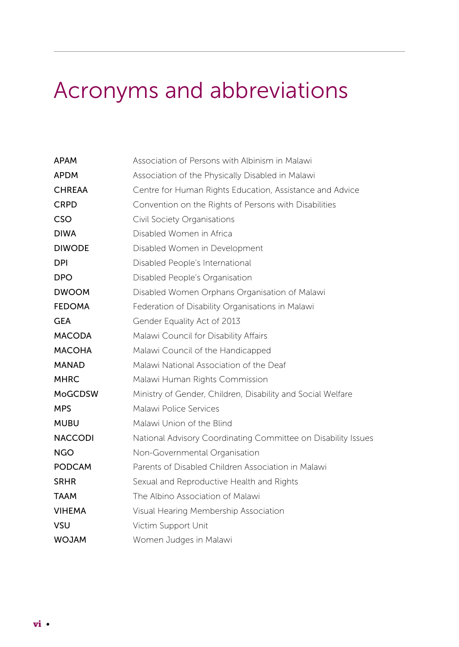# Acronyms and abbreviations

| <b>APAM</b>    | Association of Persons with Albinism in Malawi                |  |  |
|----------------|---------------------------------------------------------------|--|--|
| <b>APDM</b>    | Association of the Physically Disabled in Malawi              |  |  |
| <b>CHREAA</b>  | Centre for Human Rights Education, Assistance and Advice      |  |  |
| <b>CRPD</b>    | Convention on the Rights of Persons with Disabilities         |  |  |
| CSO            | Civil Society Organisations                                   |  |  |
| <b>DIWA</b>    | Disabled Women in Africa                                      |  |  |
| <b>DIWODE</b>  | Disabled Women in Development                                 |  |  |
| DPI.           | Disabled People's International                               |  |  |
| <b>DPO</b>     | Disabled People's Organisation                                |  |  |
| <b>DWOOM</b>   | Disabled Women Orphans Organisation of Malawi                 |  |  |
| <b>FEDOMA</b>  | Federation of Disability Organisations in Malawi              |  |  |
| <b>GEA</b>     | Gender Equality Act of 2013                                   |  |  |
| <b>MACODA</b>  | Malawi Council for Disability Affairs                         |  |  |
| <b>MACOHA</b>  | Malawi Council of the Handicapped                             |  |  |
| <b>MANAD</b>   | Malawi National Association of the Deaf                       |  |  |
| <b>MHRC</b>    | Malawi Human Rights Commission                                |  |  |
| <b>MoGCDSW</b> | Ministry of Gender, Children, Disability and Social Welfare   |  |  |
| <b>MPS</b>     | Malawi Police Services                                        |  |  |
| <b>MUBU</b>    | Malawi Union of the Blind                                     |  |  |
| <b>NACCODI</b> | National Advisory Coordinating Committee on Disability Issues |  |  |
| <b>NGO</b>     | Non-Governmental Organisation                                 |  |  |
| <b>PODCAM</b>  | Parents of Disabled Children Association in Malawi            |  |  |
| <b>SRHR</b>    | Sexual and Reproductive Health and Rights                     |  |  |
| <b>TAAM</b>    | The Albino Association of Malawi                              |  |  |
| <b>VIHEMA</b>  | Visual Hearing Membership Association                         |  |  |
| VSU            | Victim Support Unit                                           |  |  |
| <b>MALOW</b>   | Women Judges in Malawi                                        |  |  |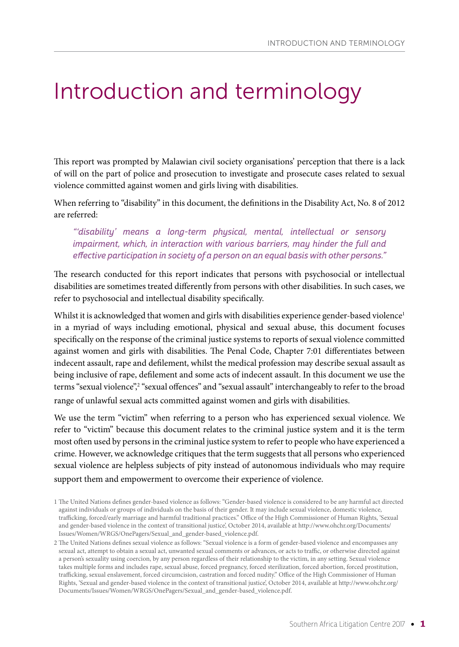## Introduction and terminology

This report was prompted by Malawian civil society organisations' perception that there is a lack of will on the part of police and prosecution to investigate and prosecute cases related to sexual violence committed against women and girls living with disabilities.

When referring to "disability" in this document, the definitions in the Disability Act, No. 8 of 2012 are referred:

"'disability' means a long-term physical, mental, intellectual or sensory impairment, which, in interaction with various barriers, may hinder the full and effective participation in society of a person on an equal basis with other persons."

The research conducted for this report indicates that persons with psychosocial or intellectual disabilities are sometimes treated differently from persons with other disabilities. In such cases, we refer to psychosocial and intellectual disability specifically.

Whilst it is acknowledged that women and girls with disabilities experience gender-based violence<sup>1</sup> in a myriad of ways including emotional, physical and sexual abuse, this document focuses specifically on the response of the criminal justice systems to reports of sexual violence committed against women and girls with disabilities. The Penal Code, Chapter 7:01 differentiates between indecent assault, rape and defilement, whilst the medical profession may describe sexual assault as being inclusive of rape, defilement and some acts of indecent assault. In this document we use the terms "sexual violence",<sup>2</sup> "sexual offences" and "sexual assault" interchangeably to refer to the broad range of unlawful sexual acts committed against women and girls with disabilities.

We use the term "victim" when referring to a person who has experienced sexual violence. We refer to "victim" because this document relates to the criminal justice system and it is the term most often used by persons in the criminal justice system to refer to people who have experienced a crime. However, we acknowledge critiques that the term suggests that all persons who experienced sexual violence are helpless subjects of pity instead of autonomous individuals who may require support them and empowerment to overcome their experience of violence.

<sup>1</sup> The United Nations defines gender-based violence as follows: "Gender-based violence is considered to be any harmful act directed against individuals or groups of individuals on the basis of their gender. It may include sexual violence, domestic violence, trafficking, forced/early marriage and harmful traditional practices." Office of the High Commissioner of Human Rights, 'Sexual and gender-based violence in the context of transitional justice', October 2014, available at http://www.ohchr.org/Documents/ Issues/Women/WRGS/OnePagers/Sexual\_and\_gender-based\_violence.pdf.

<sup>2</sup> The United Nations defines sexual violence as follows: "Sexual violence is a form of gender-based violence and encompasses any sexual act, attempt to obtain a sexual act, unwanted sexual comments or advances, or acts to traffic, or otherwise directed against a person's sexuality using coercion, by any person regardless of their relationship to the victim, in any setting. Sexual violence takes multiple forms and includes rape, sexual abuse, forced pregnancy, forced sterilization, forced abortion, forced prostitution, trafficking, sexual enslavement, forced circumcision, castration and forced nudity." Office of the High Commissioner of Human Rights, 'Sexual and gender-based violence in the context of transitional justice', October 2014, available at http://www.ohchr.org/ Documents/Issues/Women/WRGS/OnePagers/Sexual\_and\_gender-based\_violence.pdf.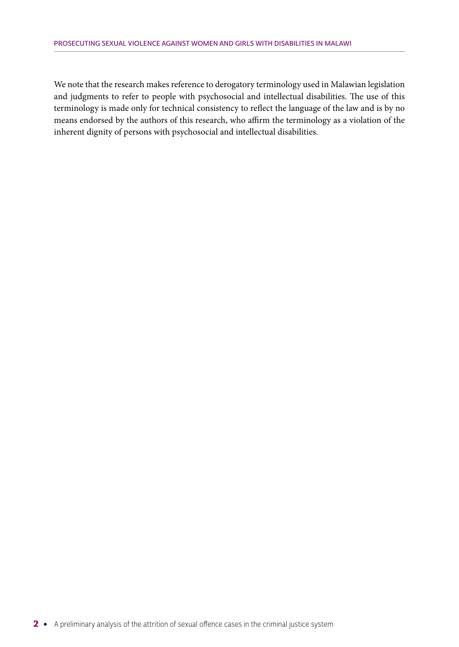We note that the research makes reference to derogatory terminology used in Malawian legislation and judgments to refer to people with psychosocial and intellectual disabilities. The use of this terminology is made only for technical consistency to reflect the language of the law and is by no means endorsed by the authors of this research, who affirm the terminology as a violation of the inherent dignity of persons with psychosocial and intellectual disabilities.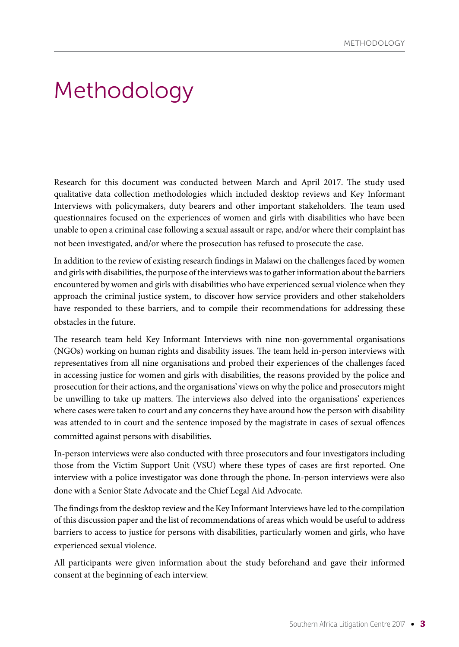## Methodology

Research for this document was conducted between March and April 2017. The study used qualitative data collection methodologies which included desktop reviews and Key Informant Interviews with policymakers, duty bearers and other important stakeholders. The team used questionnaires focused on the experiences of women and girls with disabilities who have been unable to open a criminal case following a sexual assault or rape, and/or where their complaint has not been investigated, and/or where the prosecution has refused to prosecute the case.

In addition to the review of existing research findings in Malawi on the challenges faced by women and girls with disabilities, the purpose of the interviews was to gather information about the barriers encountered by women and girls with disabilities who have experienced sexual violence when they approach the criminal justice system, to discover how service providers and other stakeholders have responded to these barriers, and to compile their recommendations for addressing these obstacles in the future.

The research team held Key Informant Interviews with nine non-governmental organisations (NGOs) working on human rights and disability issues. The team held in-person interviews with representatives from all nine organisations and probed their experiences of the challenges faced in accessing justice for women and girls with disabilities, the reasons provided by the police and prosecution for their actions, and the organisations' views on why the police and prosecutors might be unwilling to take up matters. The interviews also delved into the organisations' experiences where cases were taken to court and any concerns they have around how the person with disability was attended to in court and the sentence imposed by the magistrate in cases of sexual offences committed against persons with disabilities.

In-person interviews were also conducted with three prosecutors and four investigators including those from the Victim Support Unit (VSU) where these types of cases are first reported. One interview with a police investigator was done through the phone. In-person interviews were also done with a Senior State Advocate and the Chief Legal Aid Advocate.

The findings from the desktop review and the Key Informant Interviews have led to the compilation of this discussion paper and the list of recommendations of areas which would be useful to address barriers to access to justice for persons with disabilities, particularly women and girls, who have experienced sexual violence.

All participants were given information about the study beforehand and gave their informed consent at the beginning of each interview.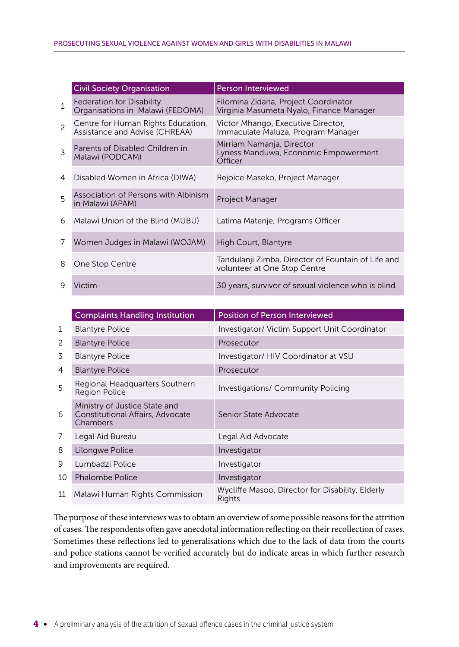|                | <b>Civil Society Organisation</b>                                    | <b>Person Interviewed</b>                                                          |
|----------------|----------------------------------------------------------------------|------------------------------------------------------------------------------------|
| $\mathbf{1}$   | Federation for Disability<br>Organisations in Malawi (FEDOMA)        | Filomina Zidana, Project Coordinator<br>Virginia Masumeta Nyalo, Finance Manager   |
| $\overline{c}$ | Centre for Human Rights Education,<br>Assistance and Advise (CHREAA) | Victor Mhango, Executive Director,<br>Immaculate Maluza, Program Manager           |
| 3              | Parents of Disabled Children in<br>Malawi (PODCAM)                   | Mirriam Namanja, Director<br>Lyness Manduwa, Economic Empowerment<br>Officer       |
| 4              | Disabled Women in Africa (DIWA)                                      | Rejoice Maseko, Project Manager                                                    |
| 5              | Association of Persons with Albinism<br>in Malawi (APAM)             | Project Manager                                                                    |
| 6              | Malawi Union of the Blind (MUBU)                                     | Latima Matenje, Programs Officer                                                   |
| 7              | Women Judges in Malawi (WOJAM)                                       | High Court, Blantyre                                                               |
| 8              | One Stop Centre                                                      | Tandulanji Zimba, Director of Fountain of Life and<br>volunteer at One Stop Centre |
| 9              | Victim                                                               | 30 years, survivor of sexual violence who is blind                                 |

|    | <b>Complaints Handling Institution</b>                                        | <b>Position of Person Interviewed</b>                      |
|----|-------------------------------------------------------------------------------|------------------------------------------------------------|
| 1  | <b>Blantyre Police</b>                                                        | Investigator/ Victim Support Unit Coordinator              |
| 2  | <b>Blantyre Police</b>                                                        | Prosecutor                                                 |
| 3  | <b>Blantyre Police</b>                                                        | Investigator/ HIV Coordinator at VSU                       |
| 4  | <b>Blantyre Police</b>                                                        | Prosecutor                                                 |
| 5  | Regional Headquarters Southern<br><b>Region Police</b>                        | <b>Investigations/ Community Policing</b>                  |
| 6  | Ministry of Justice State and<br>Constitutional Affairs, Advocate<br>Chambers | Senior State Advocate                                      |
| 7  | Legal Aid Bureau                                                              | Legal Aid Advocate                                         |
| 8  | Lilongwe Police                                                               | Investigator                                               |
| 9  | Lumbadzi Police                                                               | Investigator                                               |
| 10 | <b>Phalombe Police</b>                                                        | Investigator                                               |
| 11 | Malawi Human Rights Commission                                                | Wycliffe Masoo, Director for Disability, Elderly<br>Rights |

The purpose of these interviews was to obtain an overview of some possible reasons for the attrition of cases. The respondents often gave anecdotal information reflecting on their recollection of cases. Sometimes these reflections led to generalisations which due to the lack of data from the courts and police stations cannot be verified accurately but do indicate areas in which further research and improvements are required.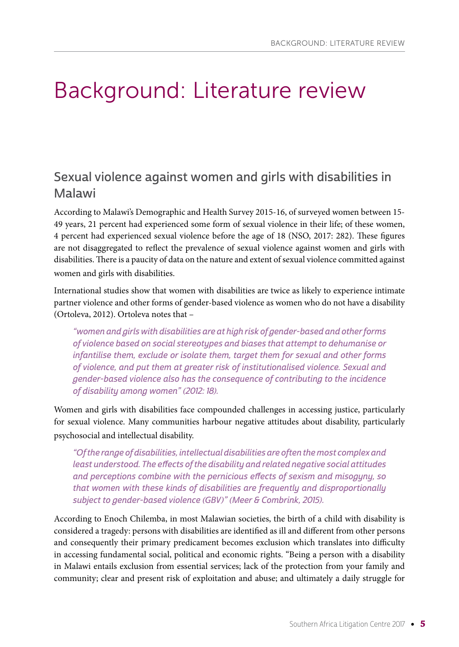## Background: Literature review

## Sexual violence against women and girls with disabilities in Malawi

According to Malawi's Demographic and Health Survey 2015-16, of surveyed women between 15- 49 years, 21 percent had experienced some form of sexual violence in their life; of these women, 4 percent had experienced sexual violence before the age of 18 (NSO, 2017: 282). These figures are not disaggregated to reflect the prevalence of sexual violence against women and girls with disabilities. There is a paucity of data on the nature and extent of sexual violence committed against women and girls with disabilities.

International studies show that women with disabilities are twice as likely to experience intimate partner violence and other forms of gender-based violence as women who do not have a disability (Ortoleva, 2012). Ortoleva notes that –

"women and girls with disabilities are at high risk of gender-based and other forms of violence based on social stereotypes and biases that attempt to dehumanise or infantilise them, exclude or isolate them, target them for sexual and other forms of violence, and put them at greater risk of institutionalised violence. Sexual and gender-based violence also has the consequence of contributing to the incidence of disability among women" (2012: 18).

Women and girls with disabilities face compounded challenges in accessing justice, particularly for sexual violence. Many communities harbour negative attitudes about disability, particularly psychosocial and intellectual disability.

"Of the range of disabilities, intellectual disabilities are often the most complex and least understood. The effects of the disability and related negative social attitudes and perceptions combine with the pernicious effects of sexism and misogyny, so that women with these kinds of disabilities are frequently and disproportionally subject to gender-based violence (GBV)" (Meer & Combrink, 2015).

According to Enoch Chilemba, in most Malawian societies, the birth of a child with disability is considered a tragedy: persons with disabilities are identified as ill and different from other persons and consequently their primary predicament becomes exclusion which translates into difficulty in accessing fundamental social, political and economic rights. "Being a person with a disability in Malawi entails exclusion from essential services; lack of the protection from your family and community; clear and present risk of exploitation and abuse; and ultimately a daily struggle for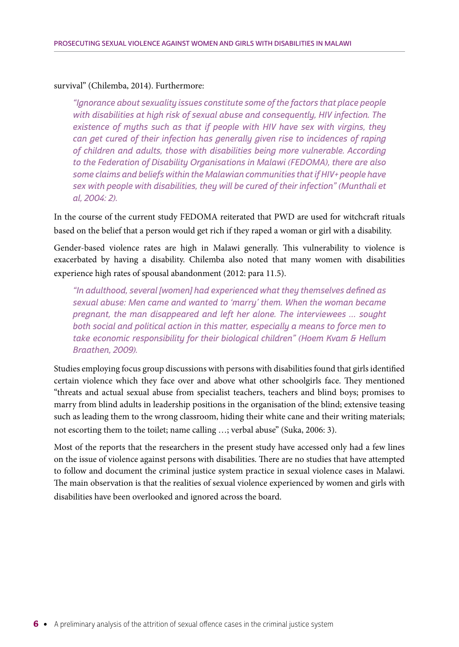#### survival" (Chilemba, 2014). Furthermore:

"Ignorance about sexuality issues constitute some of the factors that place people with disabilities at high risk of sexual abuse and consequently, HIV infection. The existence of myths such as that if people with HIV have sex with virgins, they can get cured of their infection has generally given rise to incidences of raping of children and adults, those with disabilities being more vulnerable. According to the Federation of Disability Organisations in Malawi (FEDOMA), there are also some claims and beliefs within the Malawian communities that if HIV+ people have sex with people with disabilities, they will be cured of their infection" (Munthali et al, 2004: 2).

In the course of the current study FEDOMA reiterated that PWD are used for witchcraft rituals based on the belief that a person would get rich if they raped a woman or girl with a disability.

Gender-based violence rates are high in Malawi generally. This vulnerability to violence is exacerbated by having a disability. Chilemba also noted that many women with disabilities experience high rates of spousal abandonment (2012: para 11.5).

"In adulthood, several [women] had experienced what they themselves defined as sexual abuse: Men came and wanted to 'marry' them. When the woman became pregnant, the man disappeared and left her alone. The interviewees … sought both social and political action in this matter, especially a means to force men to take economic responsibility for their biological children" (Hoem Kvam & Hellum Braathen, 2009).

Studies employing focus group discussions with persons with disabilities found that girls identified certain violence which they face over and above what other schoolgirls face. They mentioned "threats and actual sexual abuse from specialist teachers, teachers and blind boys; promises to marry from blind adults in leadership positions in the organisation of the blind; extensive teasing such as leading them to the wrong classroom, hiding their white cane and their writing materials; not escorting them to the toilet; name calling …; verbal abuse" (Suka, 2006: 3).

Most of the reports that the researchers in the present study have accessed only had a few lines on the issue of violence against persons with disabilities. There are no studies that have attempted to follow and document the criminal justice system practice in sexual violence cases in Malawi. The main observation is that the realities of sexual violence experienced by women and girls with disabilities have been overlooked and ignored across the board.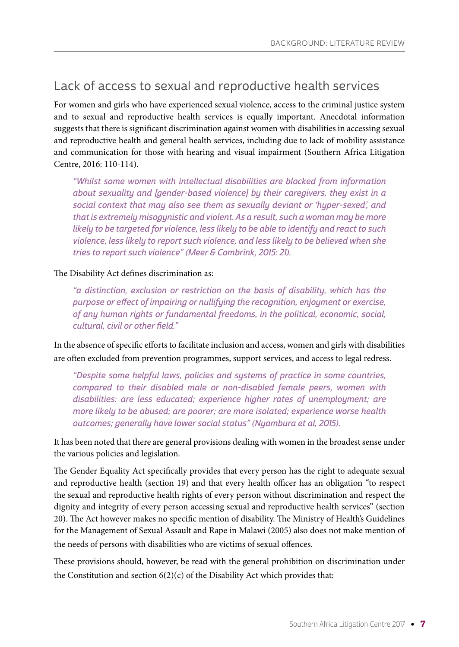### Lack of access to sexual and reproductive health services

For women and girls who have experienced sexual violence, access to the criminal justice system and to sexual and reproductive health services is equally important. Anecdotal information suggests that there is significant discrimination against women with disabilities in accessing sexual and reproductive health and general health services, including due to lack of mobility assistance and communication for those with hearing and visual impairment (Southern Africa Litigation Centre, 2016: 110-114).

"Whilst some women with intellectual disabilities are blocked from information about sexuality and [gender-based violence] by their caregivers, they exist in a social context that may also see them as sexually deviant or 'hyper-sexed', and that is extremely misogynistic and violent. As a result, such a woman may be more likely to be targeted for violence, less likely to be able to identify and react to such violence, less likely to report such violence, and less likely to be believed when she tries to report such violence" (Meer & Combrink, 2015: 21).

The Disability Act defines discrimination as:

"a distinction, exclusion or restriction on the basis of disability, which has the purpose or effect of impairing or nullifying the recognition, enjoyment or exercise, of any human rights or fundamental freedoms, in the political, economic, social, cultural, civil or other field."

In the absence of specific efforts to facilitate inclusion and access, women and girls with disabilities are often excluded from prevention programmes, support services, and access to legal redress.

"Despite some helpful laws, policies and systems of practice in some countries, compared to their disabled male or non-disabled female peers, women with disabilities: are less educated; experience higher rates of unemployment; are more likely to be abused; are poorer; are more isolated; experience worse health outcomes; generally have lower social status" (Nyambura et al, 2015).

It has been noted that there are general provisions dealing with women in the broadest sense under the various policies and legislation.

The Gender Equality Act specifically provides that every person has the right to adequate sexual and reproductive health (section 19) and that every health officer has an obligation "to respect the sexual and reproductive health rights of every person without discrimination and respect the dignity and integrity of every person accessing sexual and reproductive health services" (section 20). The Act however makes no specific mention of disability. The Ministry of Health's Guidelines for the Management of Sexual Assault and Rape in Malawi (2005) also does not make mention of the needs of persons with disabilities who are victims of sexual offences.

These provisions should, however, be read with the general prohibition on discrimination under the Constitution and section  $6(2)(c)$  of the Disability Act which provides that: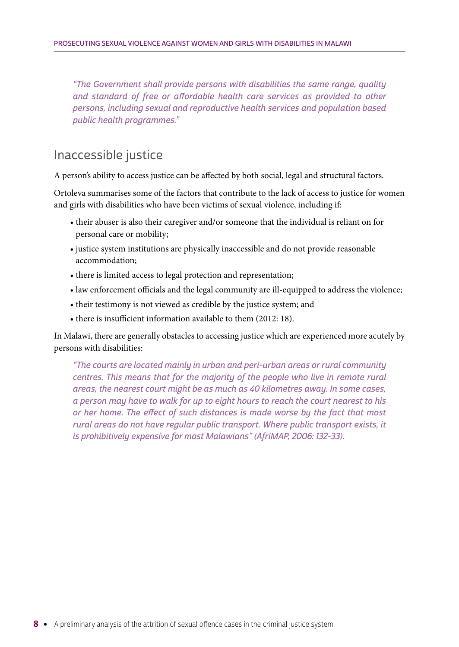"The Government shall provide persons with disabilities the same range, quality and standard of free or affordable health care services as provided to other persons, including sexual and reproductive health services and population based public health programmes."

### Inaccessible justice

A person's ability to access justice can be affected by both social, legal and structural factors.

Ortoleva summarises some of the factors that contribute to the lack of access to justice for women and girls with disabilities who have been victims of sexual violence, including if:

- their abuser is also their caregiver and/or someone that the individual is reliant on for personal care or mobility;
- justice system institutions are physically inaccessible and do not provide reasonable accommodation;
- there is limited access to legal protection and representation;
- law enforcement officials and the legal community are ill-equipped to address the violence;
- their testimony is not viewed as credible by the justice system; and
- there is insufficient information available to them (2012: 18).

In Malawi, there are generally obstacles to accessing justice which are experienced more acutely by persons with disabilities:

"The courts are located mainly in urban and peri-urban areas or rural community centres. This means that for the majority of the people who live in remote rural areas, the nearest court might be as much as 40 kilometres away. In some cases, a person may have to walk for up to eight hours to reach the court nearest to his or her home. The effect of such distances is made worse by the fact that most rural areas do not have regular public transport. Where public transport exists, it is prohibitively expensive for most Malawians" (AfriMAP, 2006: 132-33).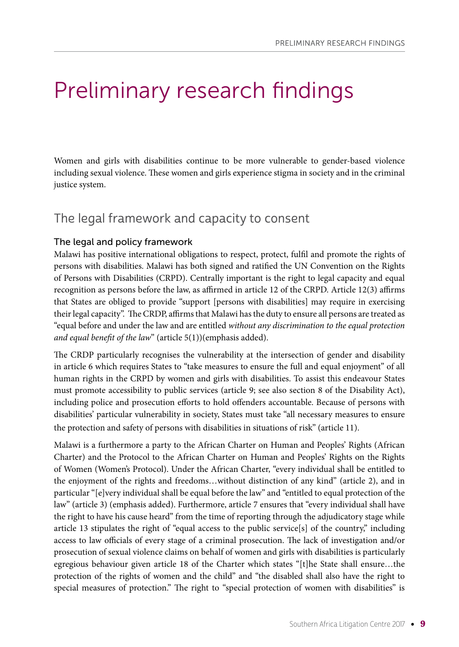## Preliminary research findings

Women and girls with disabilities continue to be more vulnerable to gender-based violence including sexual violence. These women and girls experience stigma in society and in the criminal justice system.

## The legal framework and capacity to consent

#### The legal and policy framework

Malawi has positive international obligations to respect, protect, fulfil and promote the rights of persons with disabilities. Malawi has both signed and ratified the UN Convention on the Rights of Persons with Disabilities (CRPD). Centrally important is the right to legal capacity and equal recognition as persons before the law, as affirmed in article 12 of the CRPD. Article 12(3) affirms that States are obliged to provide "support [persons with disabilities] may require in exercising their legal capacity". The CRDP, affirms that Malawi has the duty to ensure all persons are treated as "equal before and under the law and are entitled *without any discrimination to the equal protection and equal benefit of the law*" (article 5(1))(emphasis added).

The CRDP particularly recognises the vulnerability at the intersection of gender and disability in article 6 which requires States to "take measures to ensure the full and equal enjoyment" of all human rights in the CRPD by women and girls with disabilities. To assist this endeavour States must promote accessibility to public services (article 9; see also section 8 of the Disability Act), including police and prosecution efforts to hold offenders accountable. Because of persons with disabilities' particular vulnerability in society, States must take "all necessary measures to ensure the protection and safety of persons with disabilities in situations of risk" (article 11).

Malawi is a furthermore a party to the African Charter on Human and Peoples' Rights (African Charter) and the Protocol to the African Charter on Human and Peoples' Rights on the Rights of Women (Women's Protocol). Under the African Charter, "every individual shall be entitled to the enjoyment of the rights and freedoms…without distinction of any kind" (article 2), and in particular "[e]very individual shall be equal before the law" and "entitled to equal protection of the law" (article 3) (emphasis added). Furthermore, article 7 ensures that "every individual shall have the right to have his cause heard" from the time of reporting through the adjudicatory stage while article 13 stipulates the right of "equal access to the public service[s] of the country," including access to law officials of every stage of a criminal prosecution. The lack of investigation and/or prosecution of sexual violence claims on behalf of women and girls with disabilities is particularly egregious behaviour given article 18 of the Charter which states "[t]he State shall ensure…the protection of the rights of women and the child" and "the disabled shall also have the right to special measures of protection." The right to "special protection of women with disabilities" is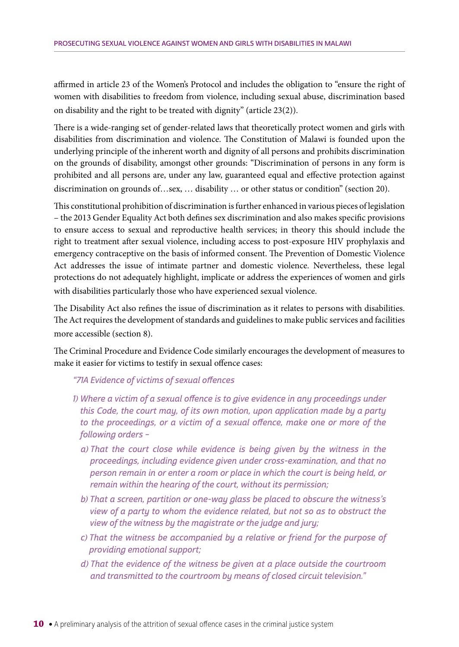affirmed in article 23 of the Women's Protocol and includes the obligation to "ensure the right of women with disabilities to freedom from violence, including sexual abuse, discrimination based on disability and the right to be treated with dignity" (article 23(2)).

There is a wide-ranging set of gender-related laws that theoretically protect women and girls with disabilities from discrimination and violence. The Constitution of Malawi is founded upon the underlying principle of the inherent worth and dignity of all persons and prohibits discrimination on the grounds of disability, amongst other grounds: "Discrimination of persons in any form is prohibited and all persons are, under any law, guaranteed equal and effective protection against discrimination on grounds of…sex, … disability … or other status or condition" (section 20).

This constitutional prohibition of discrimination is further enhanced in various pieces of legislation – the 2013 Gender Equality Act both defines sex discrimination and also makes specific provisions to ensure access to sexual and reproductive health services; in theory this should include the right to treatment after sexual violence, including access to post-exposure HIV prophylaxis and emergency contraceptive on the basis of informed consent. The Prevention of Domestic Violence Act addresses the issue of intimate partner and domestic violence. Nevertheless, these legal protections do not adequately highlight, implicate or address the experiences of women and girls with disabilities particularly those who have experienced sexual violence.

The Disability Act also refines the issue of discrimination as it relates to persons with disabilities. The Act requires the development of standards and guidelines to make public services and facilities more accessible (section 8).

The Criminal Procedure and Evidence Code similarly encourages the development of measures to make it easier for victims to testify in sexual offence cases:

"71A Evidence of victims of sexual offences

- 1) Where a victim of a sexual offence is to give evidence in any proceedings under this Code, the court may, of its own motion, upon application made by a party to the proceedings, or a victim of a sexual offence, make one or more of the following orders –
	- a) That the court close while evidence is being given by the witness in the proceedings, including evidence given under cross-examination, and that no person remain in or enter a room or place in which the court is being held, or remain within the hearing of the court, without its permission;
	- b) That a screen, partition or one-way glass be placed to obscure the witness's view of a party to whom the evidence related, but not so as to obstruct the view of the witness by the magistrate or the judge and jury;
	- c) That the witness be accompanied by a relative or friend for the purpose of providing emotional support;
	- d) That the evidence of the witness be given at a place outside the courtroom and transmitted to the courtroom by means of closed circuit television."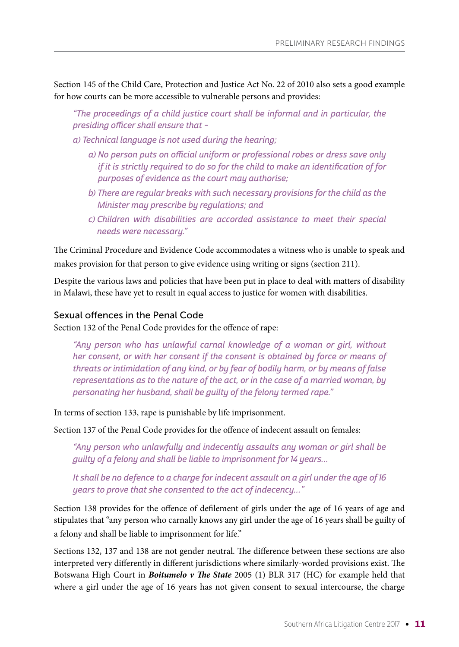Section 145 of the Child Care, Protection and Justice Act No. 22 of 2010 also sets a good example for how courts can be more accessible to vulnerable persons and provides:

"The proceedings of a child justice court shall be informal and in particular, the presiding officer shall ensure that –

a) Technical language is not used during the hearing;

- a) No person puts on official uniform or professional robes or dress save only if it is strictly required to do so for the child to make an identification of for purposes of evidence as the court may authorise;
- b) There are regular breaks with such necessary provisions for the child as the Minister may prescribe by regulations; and
- c) Children with disabilities are accorded assistance to meet their special needs were necessary."

The Criminal Procedure and Evidence Code accommodates a witness who is unable to speak and makes provision for that person to give evidence using writing or signs (section 211).

Despite the various laws and policies that have been put in place to deal with matters of disability in Malawi, these have yet to result in equal access to justice for women with disabilities.

#### Sexual offences in the Penal Code

Section 132 of the Penal Code provides for the offence of rape:

"Any person who has unlawful carnal knowledge of a woman or girl, without her consent, or with her consent if the consent is obtained by force or means of threats or intimidation of any kind, or by fear of bodily harm, or by means of false representations as to the nature of the act, or in the case of a married woman, by personating her husband, shall be guilty of the felony termed rape."

In terms of section 133, rape is punishable by life imprisonment.

Section 137 of the Penal Code provides for the offence of indecent assault on females:

"Any person who unlawfully and indecently assaults any woman or girl shall be guilty of a felony and shall be liable to imprisonment for 14 years…

It shall be no defence to a charge for indecent assault on a girl under the age of 16 years to prove that she consented to the act of indecency…"

Section 138 provides for the offence of defilement of girls under the age of 16 years of age and stipulates that "any person who carnally knows any girl under the age of 16 years shall be guilty of a felony and shall be liable to imprisonment for life."

Sections 132, 137 and 138 are not gender neutral. The difference between these sections are also interpreted very differently in different jurisdictions where similarly-worded provisions exist. The Botswana High Court in *Boitumelo v The State* 2005 (1) BLR 317 (HC) for example held that where a girl under the age of 16 years has not given consent to sexual intercourse, the charge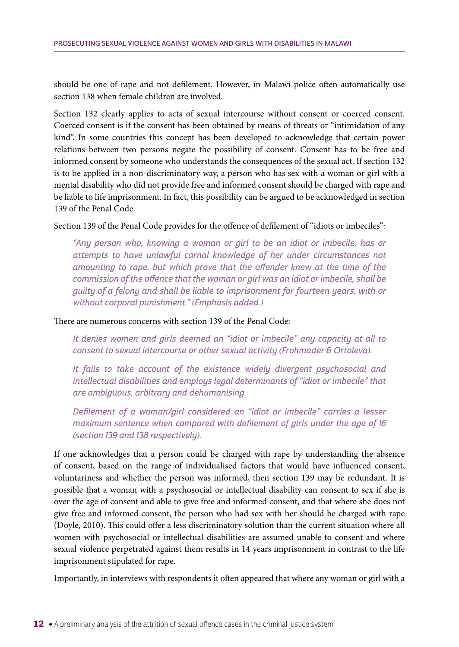should be one of rape and not defilement. However, in Malawi police often automatically use section 138 when female children are involved.

Section 132 clearly applies to acts of sexual intercourse without consent or coerced consent. Coerced consent is if the consent has been obtained by means of threats or "intimidation of any kind". In some countries this concept has been developed to acknowledge that certain power relations between two persons negate the possibility of consent. Consent has to be free and informed consent by someone who understands the consequences of the sexual act. If section 132 is to be applied in a non-discriminatory way, a person who has sex with a woman or girl with a mental disability who did not provide free and informed consent should be charged with rape and be liable to life imprisonment. In fact, this possibility can be argued to be acknowledged in section 139 of the Penal Code.

Section 139 of the Penal Code provides for the offence of defilement of "idiots or imbeciles":

"Any person who, knowing a woman or girl to be an idiot or imbecile, has or attempts to have unlawful carnal knowledge of her under circumstances not amounting to rape, but which prove that the offender knew at the time of the commission of the offence that the woman or girl was an idiot or imbecile, shall be guilty of a felony and shall be liable to imprisonment for fourteen years, with or without corporal punishment." (Emphasis added.)

There are numerous concerns with section 139 of the Penal Code:

It denies women and girls deemed an "idiot or imbecile" any capacity at all to consent to sexual intercourse or other sexual activity (Frohmader & Ortoleva).

It fails to take account of the existence widely divergent psychosocial and intellectual disabilities and employs legal determinants of "idiot or imbecile" that are ambiguous, arbitrary and dehumanising.

Defilement of a woman/girl considered an "idiot or imbecile" carries a lesser maximum sentence when compared with defilement of girls under the age of 16 (section 139 and 138 respectively).

If one acknowledges that a person could be charged with rape by understanding the absence of consent, based on the range of individualised factors that would have influenced consent, voluntariness and whether the person was informed, then section 139 may be redundant. It is possible that a woman with a psychosocial or intellectual disability can consent to sex if she is over the age of consent and able to give free and informed consent, and that where she does not give free and informed consent, the person who had sex with her should be charged with rape (Doyle, 2010). This could offer a less discriminatory solution than the current situation where all women with psychosocial or intellectual disabilities are assumed unable to consent and where sexual violence perpetrated against them results in 14 years imprisonment in contrast to the life imprisonment stipulated for rape.

Importantly, in interviews with respondents it often appeared that where any woman or girl with a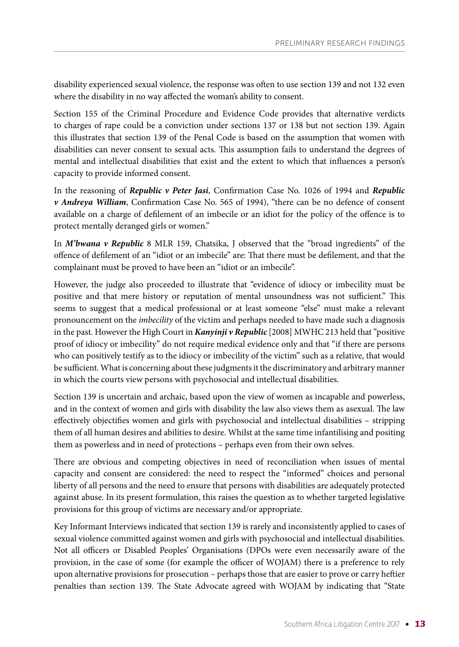disability experienced sexual violence, the response was often to use section 139 and not 132 even where the disability in no way affected the woman's ability to consent.

Section 155 of the Criminal Procedure and Evidence Code provides that alternative verdicts to charges of rape could be a conviction under sections 137 or 138 but not section 139. Again this illustrates that section 139 of the Penal Code is based on the assumption that women with disabilities can never consent to sexual acts. This assumption fails to understand the degrees of mental and intellectual disabilities that exist and the extent to which that influences a person's capacity to provide informed consent.

In the reasoning of *Republic v Peter Jasi*, Confirmation Case No. 1026 of 1994 and *Republic v Andreya William*, Confirmation Case No. 565 of 1994), "there can be no defence of consent available on a charge of defilement of an imbecile or an idiot for the policy of the offence is to protect mentally deranged girls or women."

In *M'bwana v Republic* 8 MLR 159, Chatsika, J observed that the "broad ingredients" of the offence of defilement of an "idiot or an imbecile" are: That there must be defilement, and that the complainant must be proved to have been an "idiot or an imbecile".

However, the judge also proceeded to illustrate that "evidence of idiocy or imbecility must be positive and that mere history or reputation of mental unsoundness was not sufficient." This seems to suggest that a medical professional or at least someone "else" must make a relevant pronouncement on the *imbecility* of the victim and perhaps needed to have made such a diagnosis in the past. However the High Court in *Kanyinji v Republic* [2008] MWHC 213 held that "positive proof of idiocy or imbecility" do not require medical evidence only and that "if there are persons who can positively testify as to the idiocy or imbecility of the victim" such as a relative, that would be sufficient. What is concerning about these judgments it the discriminatory and arbitrary manner in which the courts view persons with psychosocial and intellectual disabilities.

Section 139 is uncertain and archaic, based upon the view of women as incapable and powerless, and in the context of women and girls with disability the law also views them as asexual. The law effectively objectifies women and girls with psychosocial and intellectual disabilities – stripping them of all human desires and abilities to desire. Whilst at the same time infantilising and positing them as powerless and in need of protections – perhaps even from their own selves.

There are obvious and competing objectives in need of reconciliation when issues of mental capacity and consent are considered: the need to respect the "informed" choices and personal liberty of all persons and the need to ensure that persons with disabilities are adequately protected against abuse. In its present formulation, this raises the question as to whether targeted legislative provisions for this group of victims are necessary and/or appropriate.

Key Informant Interviews indicated that section 139 is rarely and inconsistently applied to cases of sexual violence committed against women and girls with psychosocial and intellectual disabilities. Not all officers or Disabled Peoples' Organisations (DPOs were even necessarily aware of the provision, in the case of some (for example the officer of WOJAM) there is a preference to rely upon alternative provisions for prosecution – perhaps those that are easier to prove or carry heftier penalties than section 139. The State Advocate agreed with WOJAM by indicating that "State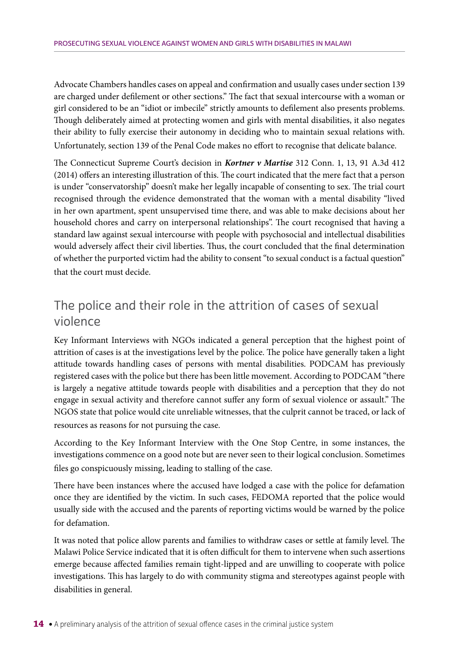Advocate Chambers handles cases on appeal and confirmation and usually cases under section 139 are charged under defilement or other sections." The fact that sexual intercourse with a woman or girl considered to be an "idiot or imbecile" strictly amounts to defilement also presents problems. Though deliberately aimed at protecting women and girls with mental disabilities, it also negates their ability to fully exercise their autonomy in deciding who to maintain sexual relations with. Unfortunately, section 139 of the Penal Code makes no effort to recognise that delicate balance.

The Connecticut Supreme Court's decision in *Kortner v Martise* 312 Conn. 1, 13, 91 A.3d 412 (2014) offers an interesting illustration of this. The court indicated that the mere fact that a person is under "conservatorship" doesn't make her legally incapable of consenting to sex. The trial court recognised through the evidence demonstrated that the woman with a mental disability "lived in her own apartment, spent unsupervised time there, and was able to make decisions about her household chores and carry on interpersonal relationships". The court recognised that having a standard law against sexual intercourse with people with psychosocial and intellectual disabilities would adversely affect their civil liberties. Thus, the court concluded that the final determination of whether the purported victim had the ability to consent "to sexual conduct is a factual question" that the court must decide.

## The police and their role in the attrition of cases of sexual violence

Key Informant Interviews with NGOs indicated a general perception that the highest point of attrition of cases is at the investigations level by the police. The police have generally taken a light attitude towards handling cases of persons with mental disabilities. PODCAM has previously registered cases with the police but there has been little movement. According to PODCAM "there is largely a negative attitude towards people with disabilities and a perception that they do not engage in sexual activity and therefore cannot suffer any form of sexual violence or assault." The NGOS state that police would cite unreliable witnesses, that the culprit cannot be traced, or lack of resources as reasons for not pursuing the case.

According to the Key Informant Interview with the One Stop Centre, in some instances, the investigations commence on a good note but are never seen to their logical conclusion. Sometimes files go conspicuously missing, leading to stalling of the case.

There have been instances where the accused have lodged a case with the police for defamation once they are identified by the victim. In such cases, FEDOMA reported that the police would usually side with the accused and the parents of reporting victims would be warned by the police for defamation.

It was noted that police allow parents and families to withdraw cases or settle at family level. The Malawi Police Service indicated that it is often difficult for them to intervene when such assertions emerge because affected families remain tight-lipped and are unwilling to cooperate with police investigations. This has largely to do with community stigma and stereotypes against people with disabilities in general.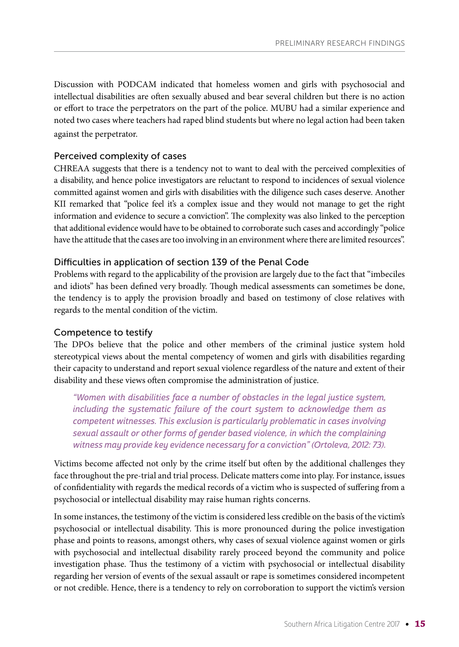Discussion with PODCAM indicated that homeless women and girls with psychosocial and intellectual disabilities are often sexually abused and bear several children but there is no action or effort to trace the perpetrators on the part of the police. MUBU had a similar experience and noted two cases where teachers had raped blind students but where no legal action had been taken against the perpetrator.

#### Perceived complexity of cases

CHREAA suggests that there is a tendency not to want to deal with the perceived complexities of a disability, and hence police investigators are reluctant to respond to incidences of sexual violence committed against women and girls with disabilities with the diligence such cases deserve. Another KII remarked that "police feel it's a complex issue and they would not manage to get the right information and evidence to secure a conviction". The complexity was also linked to the perception that additional evidence would have to be obtained to corroborate such cases and accordingly "police have the attitude that the cases are too involving in an environment where there are limited resources".

#### Difficulties in application of section 139 of the Penal Code

Problems with regard to the applicability of the provision are largely due to the fact that "imbeciles and idiots" has been defined very broadly. Though medical assessments can sometimes be done, the tendency is to apply the provision broadly and based on testimony of close relatives with regards to the mental condition of the victim.

#### Competence to testify

The DPOs believe that the police and other members of the criminal justice system hold stereotypical views about the mental competency of women and girls with disabilities regarding their capacity to understand and report sexual violence regardless of the nature and extent of their disability and these views often compromise the administration of justice.

"Women with disabilities face a number of obstacles in the legal justice system, including the systematic failure of the court system to acknowledge them as competent witnesses. This exclusion is particularly problematic in cases involving sexual assault or other forms of gender based violence, in which the complaining witness may provide key evidence necessary for a conviction" (Ortoleva, 2012: 73).

Victims become affected not only by the crime itself but often by the additional challenges they face throughout the pre-trial and trial process. Delicate matters come into play. For instance, issues of confidentiality with regards the medical records of a victim who is suspected of suffering from a psychosocial or intellectual disability may raise human rights concerns.

In some instances, the testimony of the victim is considered less credible on the basis of the victim's psychosocial or intellectual disability. This is more pronounced during the police investigation phase and points to reasons, amongst others, why cases of sexual violence against women or girls with psychosocial and intellectual disability rarely proceed beyond the community and police investigation phase. Thus the testimony of a victim with psychosocial or intellectual disability regarding her version of events of the sexual assault or rape is sometimes considered incompetent or not credible. Hence, there is a tendency to rely on corroboration to support the victim's version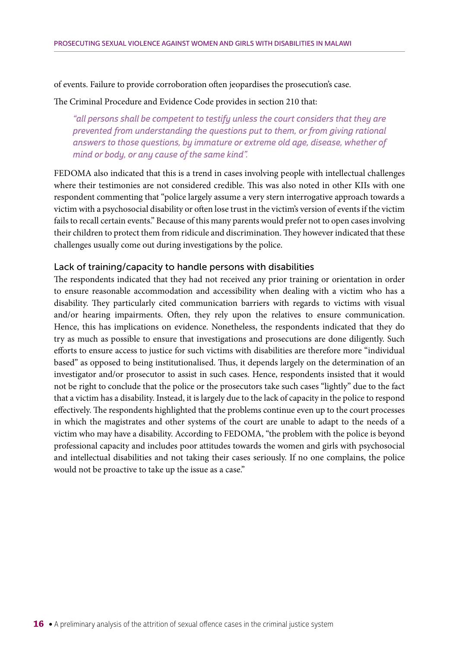#### of events. Failure to provide corroboration often jeopardises the prosecution's case.

#### The Criminal Procedure and Evidence Code provides in section 210 that:

"all persons shall be competent to testify unless the court considers that they are prevented from understanding the questions put to them, or from giving rational answers to those questions, by immature or extreme old age, disease, whether of mind or body, or any cause of the same kind".

FEDOMA also indicated that this is a trend in cases involving people with intellectual challenges where their testimonies are not considered credible. This was also noted in other KIIs with one respondent commenting that "police largely assume a very stern interrogative approach towards a victim with a psychosocial disability or often lose trust in the victim's version of events if the victim fails to recall certain events." Because of this many parents would prefer not to open cases involving their children to protect them from ridicule and discrimination. They however indicated that these challenges usually come out during investigations by the police.

#### Lack of training/capacity to handle persons with disabilities

The respondents indicated that they had not received any prior training or orientation in order to ensure reasonable accommodation and accessibility when dealing with a victim who has a disability. They particularly cited communication barriers with regards to victims with visual and/or hearing impairments. Often, they rely upon the relatives to ensure communication. Hence, this has implications on evidence. Nonetheless, the respondents indicated that they do try as much as possible to ensure that investigations and prosecutions are done diligently. Such efforts to ensure access to justice for such victims with disabilities are therefore more "individual based" as opposed to being institutionalised. Thus, it depends largely on the determination of an investigator and/or prosecutor to assist in such cases. Hence, respondents insisted that it would not be right to conclude that the police or the prosecutors take such cases "lightly" due to the fact that a victim has a disability. Instead, it is largely due to the lack of capacity in the police to respond effectively. The respondents highlighted that the problems continue even up to the court processes in which the magistrates and other systems of the court are unable to adapt to the needs of a victim who may have a disability. According to FEDOMA, "the problem with the police is beyond professional capacity and includes poor attitudes towards the women and girls with psychosocial and intellectual disabilities and not taking their cases seriously. If no one complains, the police would not be proactive to take up the issue as a case."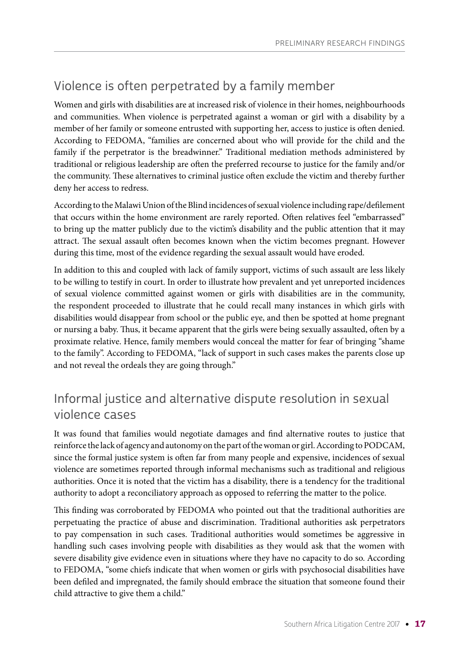## Violence is often perpetrated by a family member

Women and girls with disabilities are at increased risk of violence in their homes, neighbourhoods and communities. When violence is perpetrated against a woman or girl with a disability by a member of her family or someone entrusted with supporting her, access to justice is often denied. According to FEDOMA, "families are concerned about who will provide for the child and the family if the perpetrator is the breadwinner." Traditional mediation methods administered by traditional or religious leadership are often the preferred recourse to justice for the family and/or the community. These alternatives to criminal justice often exclude the victim and thereby further deny her access to redress.

According to the Malawi Union of the Blind incidences of sexual violence including rape/defilement that occurs within the home environment are rarely reported. Often relatives feel "embarrassed" to bring up the matter publicly due to the victim's disability and the public attention that it may attract. The sexual assault often becomes known when the victim becomes pregnant. However during this time, most of the evidence regarding the sexual assault would have eroded.

In addition to this and coupled with lack of family support, victims of such assault are less likely to be willing to testify in court. In order to illustrate how prevalent and yet unreported incidences of sexual violence committed against women or girls with disabilities are in the community, the respondent proceeded to illustrate that he could recall many instances in which girls with disabilities would disappear from school or the public eye, and then be spotted at home pregnant or nursing a baby. Thus, it became apparent that the girls were being sexually assaulted, often by a proximate relative. Hence, family members would conceal the matter for fear of bringing "shame to the family". According to FEDOMA, "lack of support in such cases makes the parents close up and not reveal the ordeals they are going through."

## Informal justice and alternative dispute resolution in sexual violence cases

It was found that families would negotiate damages and find alternative routes to justice that reinforce the lack of agency and autonomy on the part of the woman or girl. According to PODCAM, since the formal justice system is often far from many people and expensive, incidences of sexual violence are sometimes reported through informal mechanisms such as traditional and religious authorities. Once it is noted that the victim has a disability, there is a tendency for the traditional authority to adopt a reconciliatory approach as opposed to referring the matter to the police.

This finding was corroborated by FEDOMA who pointed out that the traditional authorities are perpetuating the practice of abuse and discrimination. Traditional authorities ask perpetrators to pay compensation in such cases. Traditional authorities would sometimes be aggressive in handling such cases involving people with disabilities as they would ask that the women with severe disability give evidence even in situations where they have no capacity to do so. According to FEDOMA, "some chiefs indicate that when women or girls with psychosocial disabilities have been defiled and impregnated, the family should embrace the situation that someone found their child attractive to give them a child."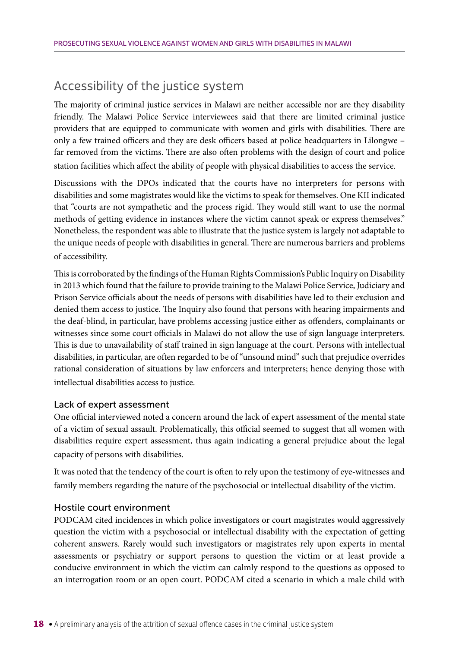## Accessibility of the justice system

The majority of criminal justice services in Malawi are neither accessible nor are they disability friendly. The Malawi Police Service interviewees said that there are limited criminal justice providers that are equipped to communicate with women and girls with disabilities. There are only a few trained officers and they are desk officers based at police headquarters in Lilongwe – far removed from the victims. There are also often problems with the design of court and police station facilities which affect the ability of people with physical disabilities to access the service.

Discussions with the DPOs indicated that the courts have no interpreters for persons with disabilities and some magistrates would like the victims to speak for themselves. One KII indicated that "courts are not sympathetic and the process rigid. They would still want to use the normal methods of getting evidence in instances where the victim cannot speak or express themselves." Nonetheless, the respondent was able to illustrate that the justice system is largely not adaptable to the unique needs of people with disabilities in general. There are numerous barriers and problems of accessibility.

This is corroborated by the findings of the Human Rights Commission's Public Inquiry on Disability in 2013 which found that the failure to provide training to the Malawi Police Service, Judiciary and Prison Service officials about the needs of persons with disabilities have led to their exclusion and denied them access to justice. The Inquiry also found that persons with hearing impairments and the deaf-blind, in particular, have problems accessing justice either as offenders, complainants or witnesses since some court officials in Malawi do not allow the use of sign language interpreters. This is due to unavailability of staff trained in sign language at the court. Persons with intellectual disabilities, in particular, are often regarded to be of "unsound mind" such that prejudice overrides rational consideration of situations by law enforcers and interpreters; hence denying those with intellectual disabilities access to justice.

#### Lack of expert assessment

One official interviewed noted a concern around the lack of expert assessment of the mental state of a victim of sexual assault. Problematically, this official seemed to suggest that all women with disabilities require expert assessment, thus again indicating a general prejudice about the legal capacity of persons with disabilities.

It was noted that the tendency of the court is often to rely upon the testimony of eye-witnesses and family members regarding the nature of the psychosocial or intellectual disability of the victim.

#### Hostile court environment

PODCAM cited incidences in which police investigators or court magistrates would aggressively question the victim with a psychosocial or intellectual disability with the expectation of getting coherent answers. Rarely would such investigators or magistrates rely upon experts in mental assessments or psychiatry or support persons to question the victim or at least provide a conducive environment in which the victim can calmly respond to the questions as opposed to an interrogation room or an open court. PODCAM cited a scenario in which a male child with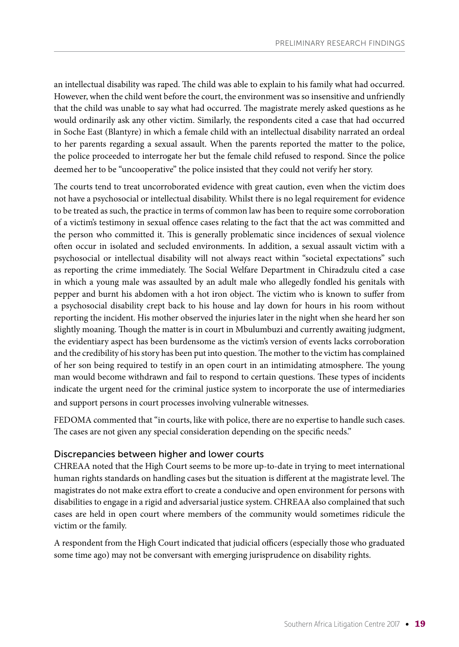an intellectual disability was raped. The child was able to explain to his family what had occurred. However, when the child went before the court, the environment was so insensitive and unfriendly that the child was unable to say what had occurred. The magistrate merely asked questions as he would ordinarily ask any other victim. Similarly, the respondents cited a case that had occurred in Soche East (Blantyre) in which a female child with an intellectual disability narrated an ordeal to her parents regarding a sexual assault. When the parents reported the matter to the police, the police proceeded to interrogate her but the female child refused to respond. Since the police deemed her to be "uncooperative" the police insisted that they could not verify her story.

The courts tend to treat uncorroborated evidence with great caution, even when the victim does not have a psychosocial or intellectual disability. Whilst there is no legal requirement for evidence to be treated as such, the practice in terms of common law has been to require some corroboration of a victim's testimony in sexual offence cases relating to the fact that the act was committed and the person who committed it. This is generally problematic since incidences of sexual violence often occur in isolated and secluded environments. In addition, a sexual assault victim with a psychosocial or intellectual disability will not always react within "societal expectations" such as reporting the crime immediately. The Social Welfare Department in Chiradzulu cited a case in which a young male was assaulted by an adult male who allegedly fondled his genitals with pepper and burnt his abdomen with a hot iron object. The victim who is known to suffer from a psychosocial disability crept back to his house and lay down for hours in his room without reporting the incident. His mother observed the injuries later in the night when she heard her son slightly moaning. Though the matter is in court in Mbulumbuzi and currently awaiting judgment, the evidentiary aspect has been burdensome as the victim's version of events lacks corroboration and the credibility of his story has been put into question. The mother to the victim has complained of her son being required to testify in an open court in an intimidating atmosphere. The young man would become withdrawn and fail to respond to certain questions. These types of incidents indicate the urgent need for the criminal justice system to incorporate the use of intermediaries and support persons in court processes involving vulnerable witnesses.

FEDOMA commented that "in courts, like with police, there are no expertise to handle such cases. The cases are not given any special consideration depending on the specific needs."

#### Discrepancies between higher and lower courts

CHREAA noted that the High Court seems to be more up-to-date in trying to meet international human rights standards on handling cases but the situation is different at the magistrate level. The magistrates do not make extra effort to create a conducive and open environment for persons with disabilities to engage in a rigid and adversarial justice system. CHREAA also complained that such cases are held in open court where members of the community would sometimes ridicule the victim or the family.

A respondent from the High Court indicated that judicial officers (especially those who graduated some time ago) may not be conversant with emerging jurisprudence on disability rights.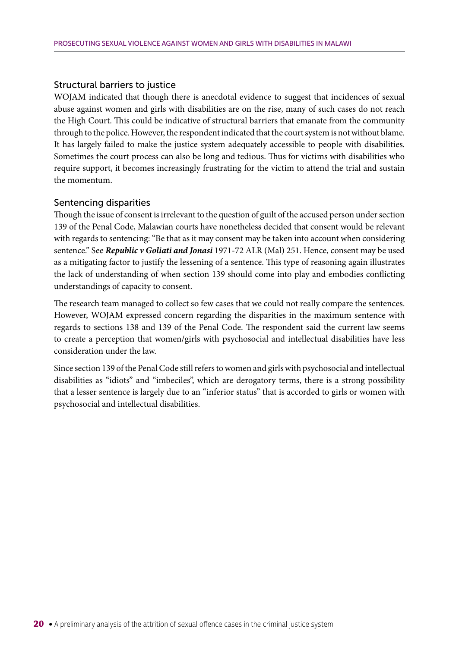#### Structural barriers to justice

WOJAM indicated that though there is anecdotal evidence to suggest that incidences of sexual abuse against women and girls with disabilities are on the rise, many of such cases do not reach the High Court. This could be indicative of structural barriers that emanate from the community through to the police. However, the respondent indicated that the court system is not without blame. It has largely failed to make the justice system adequately accessible to people with disabilities. Sometimes the court process can also be long and tedious. Thus for victims with disabilities who require support, it becomes increasingly frustrating for the victim to attend the trial and sustain the momentum.

#### Sentencing disparities

Though the issue of consent is irrelevant to the question of guilt of the accused person under section 139 of the Penal Code, Malawian courts have nonetheless decided that consent would be relevant with regards to sentencing: "Be that as it may consent may be taken into account when considering sentence." See *Republic v Goliati and Jonasi* 1971-72 ALR (Mal) 251. Hence, consent may be used as a mitigating factor to justify the lessening of a sentence. This type of reasoning again illustrates the lack of understanding of when section 139 should come into play and embodies conflicting understandings of capacity to consent.

The research team managed to collect so few cases that we could not really compare the sentences. However, WOJAM expressed concern regarding the disparities in the maximum sentence with regards to sections 138 and 139 of the Penal Code. The respondent said the current law seems to create a perception that women/girls with psychosocial and intellectual disabilities have less consideration under the law.

Since section 139 of the Penal Code still refers to women and girls with psychosocial and intellectual disabilities as "idiots" and "imbeciles", which are derogatory terms, there is a strong possibility that a lesser sentence is largely due to an "inferior status" that is accorded to girls or women with psychosocial and intellectual disabilities.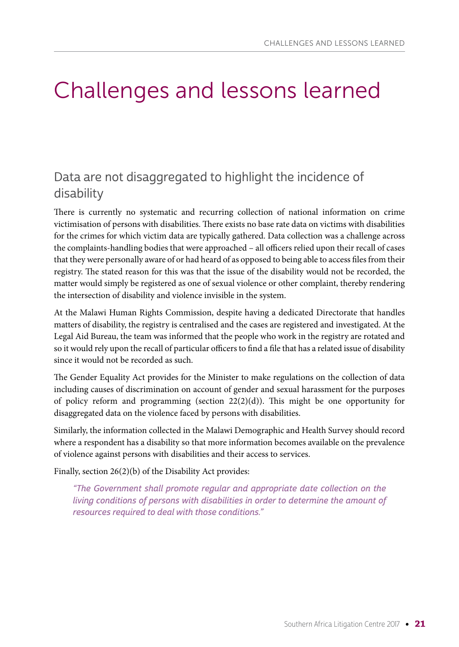## Challenges and lessons learned

## Data are not disaggregated to highlight the incidence of disability

There is currently no systematic and recurring collection of national information on crime victimisation of persons with disabilities. There exists no base rate data on victims with disabilities for the crimes for which victim data are typically gathered. Data collection was a challenge across the complaints-handling bodies that were approached – all officers relied upon their recall of cases that they were personally aware of or had heard of as opposed to being able to access files from their registry. The stated reason for this was that the issue of the disability would not be recorded, the matter would simply be registered as one of sexual violence or other complaint, thereby rendering the intersection of disability and violence invisible in the system.

At the Malawi Human Rights Commission, despite having a dedicated Directorate that handles matters of disability, the registry is centralised and the cases are registered and investigated. At the Legal Aid Bureau, the team was informed that the people who work in the registry are rotated and so it would rely upon the recall of particular officers to find a file that has a related issue of disability since it would not be recorded as such.

The Gender Equality Act provides for the Minister to make regulations on the collection of data including causes of discrimination on account of gender and sexual harassment for the purposes of policy reform and programming (section  $22(2)(d)$ ). This might be one opportunity for disaggregated data on the violence faced by persons with disabilities.

Similarly, the information collected in the Malawi Demographic and Health Survey should record where a respondent has a disability so that more information becomes available on the prevalence of violence against persons with disabilities and their access to services.

Finally, section 26(2)(b) of the Disability Act provides:

"The Government shall promote regular and appropriate date collection on the living conditions of persons with disabilities in order to determine the amount of resources required to deal with those conditions."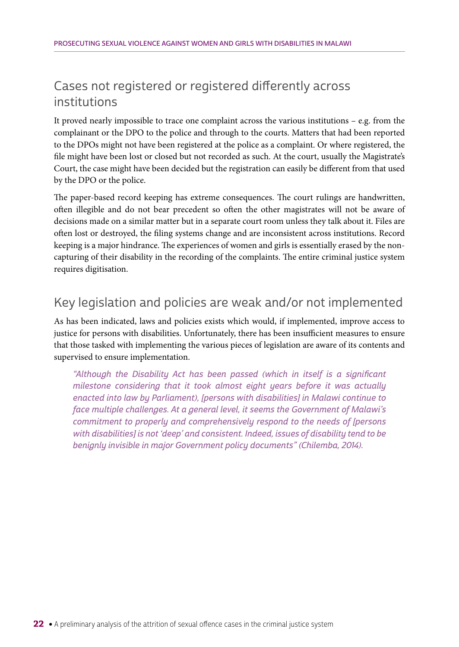## Cases not registered or registered differently across institutions

It proved nearly impossible to trace one complaint across the various institutions – e.g. from the complainant or the DPO to the police and through to the courts. Matters that had been reported to the DPOs might not have been registered at the police as a complaint. Or where registered, the file might have been lost or closed but not recorded as such. At the court, usually the Magistrate's Court, the case might have been decided but the registration can easily be different from that used by the DPO or the police.

The paper-based record keeping has extreme consequences. The court rulings are handwritten, often illegible and do not bear precedent so often the other magistrates will not be aware of decisions made on a similar matter but in a separate court room unless they talk about it. Files are often lost or destroyed, the filing systems change and are inconsistent across institutions. Record keeping is a major hindrance. The experiences of women and girls is essentially erased by the noncapturing of their disability in the recording of the complaints. The entire criminal justice system requires digitisation.

## Key legislation and policies are weak and/or not implemented

As has been indicated, laws and policies exists which would, if implemented, improve access to justice for persons with disabilities. Unfortunately, there has been insufficient measures to ensure that those tasked with implementing the various pieces of legislation are aware of its contents and supervised to ensure implementation.

"Although the Disability Act has been passed (which in itself is a significant milestone considering that it took almost eight years before it was actually enacted into law by Parliament), [persons with disabilities] in Malawi continue to face multiple challenges. At a general level, it seems the Government of Malawi's commitment to properly and comprehensively respond to the needs of [persons with disabilities] is not 'deep' and consistent. Indeed, issues of disability tend to be benignly invisible in major Government policy documents" (Chilemba, 2014).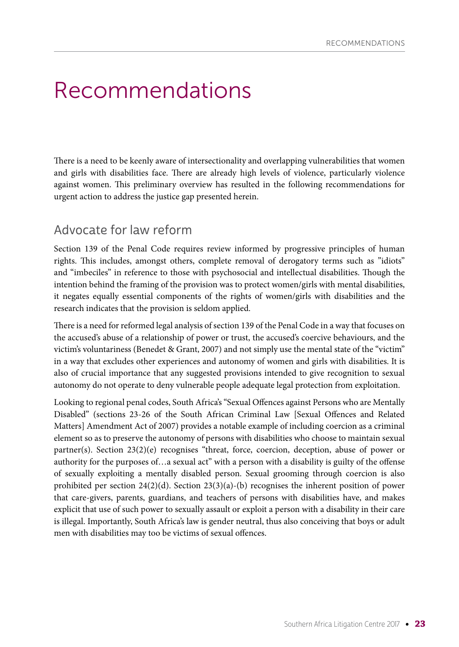## Recommendations

There is a need to be keenly aware of intersectionality and overlapping vulnerabilities that women and girls with disabilities face. There are already high levels of violence, particularly violence against women. This preliminary overview has resulted in the following recommendations for urgent action to address the justice gap presented herein.

### Advocate for law reform

Section 139 of the Penal Code requires review informed by progressive principles of human rights. This includes, amongst others, complete removal of derogatory terms such as "idiots" and "imbeciles" in reference to those with psychosocial and intellectual disabilities. Though the intention behind the framing of the provision was to protect women/girls with mental disabilities, it negates equally essential components of the rights of women/girls with disabilities and the research indicates that the provision is seldom applied.

There is a need for reformed legal analysis of section 139 of the Penal Code in a way that focuses on the accused's abuse of a relationship of power or trust, the accused's coercive behaviours, and the victim's voluntariness (Benedet & Grant, 2007) and not simply use the mental state of the "victim" in a way that excludes other experiences and autonomy of women and girls with disabilities. It is also of crucial importance that any suggested provisions intended to give recognition to sexual autonomy do not operate to deny vulnerable people adequate legal protection from exploitation.

Looking to regional penal codes, South Africa's "Sexual Offences against Persons who are Mentally Disabled" (sections 23-26 of the South African Criminal Law [Sexual Offences and Related Matters] Amendment Act of 2007) provides a notable example of including coercion as a criminal element so as to preserve the autonomy of persons with disabilities who choose to maintain sexual partner(s). Section 23(2)(e) recognises "threat, force, coercion, deception, abuse of power or authority for the purposes of…a sexual act" with a person with a disability is guilty of the offense of sexually exploiting a mentally disabled person. Sexual grooming through coercion is also prohibited per section  $24(2)(d)$ . Section  $23(3)(a)$ -(b) recognises the inherent position of power that care-givers, parents, guardians, and teachers of persons with disabilities have, and makes explicit that use of such power to sexually assault or exploit a person with a disability in their care is illegal. Importantly, South Africa's law is gender neutral, thus also conceiving that boys or adult men with disabilities may too be victims of sexual offences.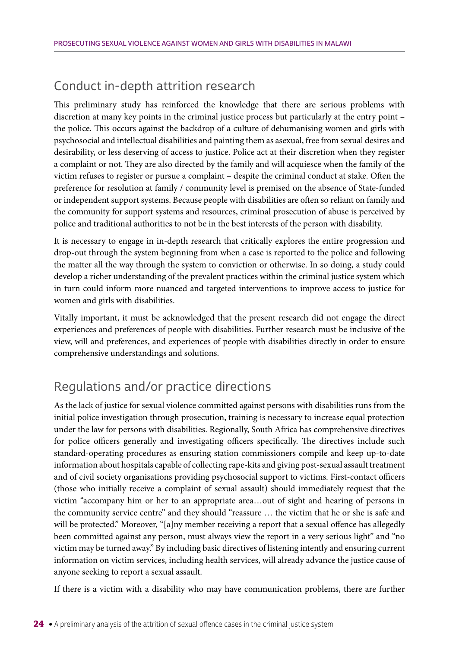## Conduct in-depth attrition research

This preliminary study has reinforced the knowledge that there are serious problems with discretion at many key points in the criminal justice process but particularly at the entry point – the police. This occurs against the backdrop of a culture of dehumanising women and girls with psychosocial and intellectual disabilities and painting them as asexual, free from sexual desires and desirability, or less deserving of access to justice. Police act at their discretion when they register a complaint or not. They are also directed by the family and will acquiesce when the family of the victim refuses to register or pursue a complaint – despite the criminal conduct at stake. Often the preference for resolution at family / community level is premised on the absence of State-funded or independent support systems. Because people with disabilities are often so reliant on family and the community for support systems and resources, criminal prosecution of abuse is perceived by police and traditional authorities to not be in the best interests of the person with disability.

It is necessary to engage in in-depth research that critically explores the entire progression and drop-out through the system beginning from when a case is reported to the police and following the matter all the way through the system to conviction or otherwise. In so doing, a study could develop a richer understanding of the prevalent practices within the criminal justice system which in turn could inform more nuanced and targeted interventions to improve access to justice for women and girls with disabilities.

Vitally important, it must be acknowledged that the present research did not engage the direct experiences and preferences of people with disabilities. Further research must be inclusive of the view, will and preferences, and experiences of people with disabilities directly in order to ensure comprehensive understandings and solutions.

## Regulations and/or practice directions

As the lack of justice for sexual violence committed against persons with disabilities runs from the initial police investigation through prosecution, training is necessary to increase equal protection under the law for persons with disabilities. Regionally, South Africa has comprehensive directives for police officers generally and investigating officers specifically. The directives include such standard-operating procedures as ensuring station commissioners compile and keep up-to-date information about hospitals capable of collecting rape-kits and giving post-sexual assault treatment and of civil society organisations providing psychosocial support to victims. First-contact officers (those who initially receive a complaint of sexual assault) should immediately request that the victim "accompany him or her to an appropriate area…out of sight and hearing of persons in the community service centre" and they should "reassure … the victim that he or she is safe and will be protected." Moreover, "[a]ny member receiving a report that a sexual offence has allegedly been committed against any person, must always view the report in a very serious light" and "no victim may be turned away." By including basic directives of listening intently and ensuring current information on victim services, including health services, will already advance the justice cause of anyone seeking to report a sexual assault.

If there is a victim with a disability who may have communication problems, there are further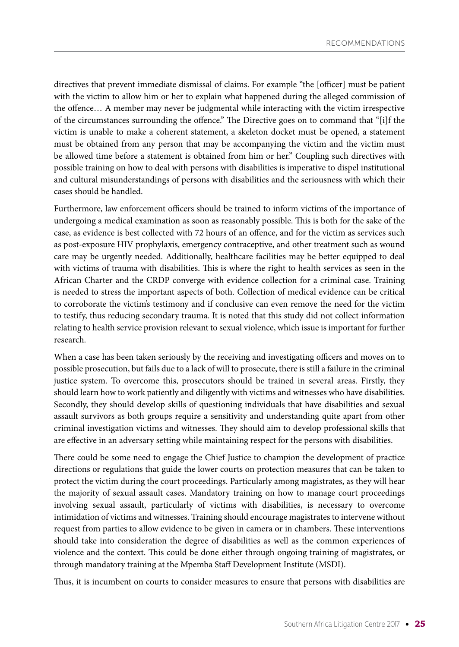directives that prevent immediate dismissal of claims. For example "the [officer] must be patient with the victim to allow him or her to explain what happened during the alleged commission of the offence… A member may never be judgmental while interacting with the victim irrespective of the circumstances surrounding the offence." The Directive goes on to command that "[i]f the victim is unable to make a coherent statement, a skeleton docket must be opened, a statement must be obtained from any person that may be accompanying the victim and the victim must be allowed time before a statement is obtained from him or her." Coupling such directives with possible training on how to deal with persons with disabilities is imperative to dispel institutional and cultural misunderstandings of persons with disabilities and the seriousness with which their cases should be handled.

Furthermore, law enforcement officers should be trained to inform victims of the importance of undergoing a medical examination as soon as reasonably possible. This is both for the sake of the case, as evidence is best collected with 72 hours of an offence, and for the victim as services such as post-exposure HIV prophylaxis, emergency contraceptive, and other treatment such as wound care may be urgently needed. Additionally, healthcare facilities may be better equipped to deal with victims of trauma with disabilities. This is where the right to health services as seen in the African Charter and the CRDP converge with evidence collection for a criminal case. Training is needed to stress the important aspects of both. Collection of medical evidence can be critical to corroborate the victim's testimony and if conclusive can even remove the need for the victim to testify, thus reducing secondary trauma. It is noted that this study did not collect information relating to health service provision relevant to sexual violence, which issue is important for further research.

When a case has been taken seriously by the receiving and investigating officers and moves on to possible prosecution, but fails due to a lack of will to prosecute, there is still a failure in the criminal justice system. To overcome this, prosecutors should be trained in several areas. Firstly, they should learn how to work patiently and diligently with victims and witnesses who have disabilities. Secondly, they should develop skills of questioning individuals that have disabilities and sexual assault survivors as both groups require a sensitivity and understanding quite apart from other criminal investigation victims and witnesses. They should aim to develop professional skills that are effective in an adversary setting while maintaining respect for the persons with disabilities.

There could be some need to engage the Chief Justice to champion the development of practice directions or regulations that guide the lower courts on protection measures that can be taken to protect the victim during the court proceedings. Particularly among magistrates, as they will hear the majority of sexual assault cases. Mandatory training on how to manage court proceedings involving sexual assault, particularly of victims with disabilities, is necessary to overcome intimidation of victims and witnesses. Training should encourage magistrates to intervene without request from parties to allow evidence to be given in camera or in chambers. These interventions should take into consideration the degree of disabilities as well as the common experiences of violence and the context. This could be done either through ongoing training of magistrates, or through mandatory training at the Mpemba Staff Development Institute (MSDI).

Thus, it is incumbent on courts to consider measures to ensure that persons with disabilities are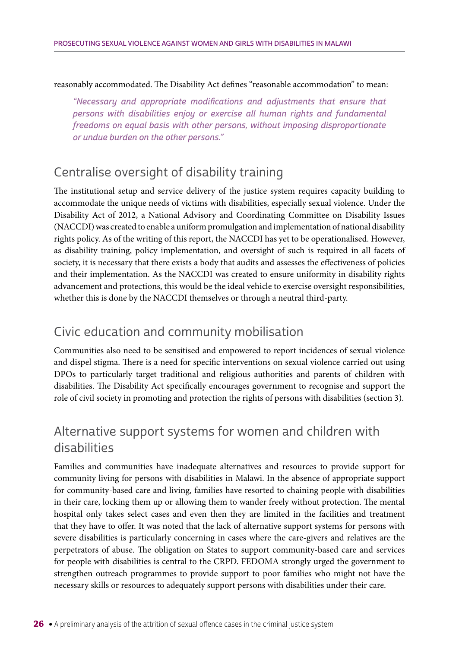#### reasonably accommodated. The Disability Act defines "reasonable accommodation" to mean:

"Necessary and appropriate modifications and adjustments that ensure that persons with disabilities enjoy or exercise all human rights and fundamental freedoms on equal basis with other persons, without imposing disproportionate or undue burden on the other persons."

### Centralise oversight of disability training

The institutional setup and service delivery of the justice system requires capacity building to accommodate the unique needs of victims with disabilities, especially sexual violence. Under the Disability Act of 2012, a National Advisory and Coordinating Committee on Disability Issues (NACCDI) was created to enable a uniform promulgation and implementation of national disability rights policy. As of the writing of this report, the NACCDI has yet to be operationalised. However, as disability training, policy implementation, and oversight of such is required in all facets of society, it is necessary that there exists a body that audits and assesses the effectiveness of policies and their implementation. As the NACCDI was created to ensure uniformity in disability rights advancement and protections, this would be the ideal vehicle to exercise oversight responsibilities, whether this is done by the NACCDI themselves or through a neutral third-party.

### Civic education and community mobilisation

Communities also need to be sensitised and empowered to report incidences of sexual violence and dispel stigma. There is a need for specific interventions on sexual violence carried out using DPOs to particularly target traditional and religious authorities and parents of children with disabilities. The Disability Act specifically encourages government to recognise and support the role of civil society in promoting and protection the rights of persons with disabilities (section 3).

### Alternative support systems for women and children with disabilities

Families and communities have inadequate alternatives and resources to provide support for community living for persons with disabilities in Malawi. In the absence of appropriate support for community-based care and living, families have resorted to chaining people with disabilities in their care, locking them up or allowing them to wander freely without protection. The mental hospital only takes select cases and even then they are limited in the facilities and treatment that they have to offer. It was noted that the lack of alternative support systems for persons with severe disabilities is particularly concerning in cases where the care-givers and relatives are the perpetrators of abuse. The obligation on States to support community-based care and services for people with disabilities is central to the CRPD. FEDOMA strongly urged the government to strengthen outreach programmes to provide support to poor families who might not have the necessary skills or resources to adequately support persons with disabilities under their care.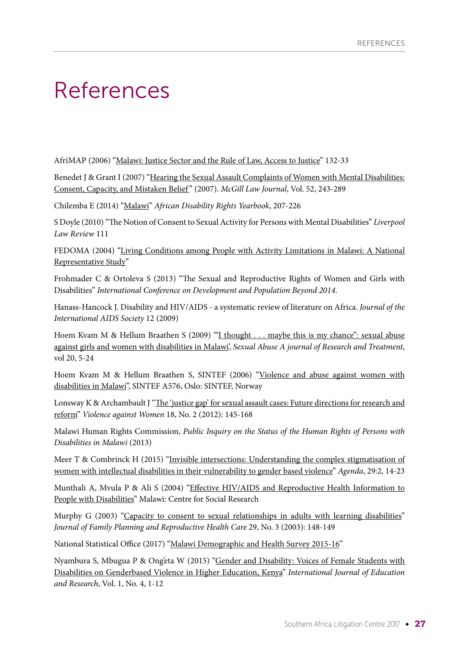## References

AfriMAP (2006) "[Malawi: Justice Sector and the Rule of Law, Access to Justice"](http://www.afrimap.org/english/images/report/mal-eng-part-2-chapter-6.pdf) 132-33

Benedet J & Grant I (2007) ["Hearing the Sexual Assault Complaints of Women with Mental Disabilities:](https://ssrn.com/abstract=1657139) [Consent, Capacity, and Mistaken Belief](https://ssrn.com/abstract=1657139) " (2007). *McGill Law Journal*, Vol. 52, 243-289

Chilemba E (2014) ["Malawi](http://www.adry.up.ac.za/index.php/2014-2-section-b-country-reports/malawi)" *African Disability Rights Yearbook*, 207-226

S Doyle (2010) "The Notion of Consent to Sexual Activity for Persons with Mental Disabilities" *Liverpool Law Review* 111

FEDOMA (2004) "[Living Conditions among People with Activity Limitations in Malawi: A National](http://www.washingtongroup-disability.com/wp-content/uploads/2016/03/SINTEF_malawi_report.pdf) [Representative Study"](http://www.washingtongroup-disability.com/wp-content/uploads/2016/03/SINTEF_malawi_report.pdf)

Frohmader C & Ortoleva S (2013) "The Sexual and Reproductive Rights of Women and Girls with Disabilities" *International Conference on Development and Population Beyond 2014*.

Hanass-Hancock J. Disability and HIV/AIDS - a systematic review of literature on Africa. *Journal of the International AIDS Society* 12 (2009)

Hoem Kvam M & Hellum Braathen S (2009) '["I thought . . . maybe this is my chance": sexual abuse](https://www.ncbi.nlm.nih.gov/pubmed/18420554) [against girls and women with disabilities in Malawi](https://www.ncbi.nlm.nih.gov/pubmed/18420554)', *Sexual Abuse A journal of Research and Treatment*, vol 20, 5-24

Hoem Kvam M & Hellum Braathen S, SINTEF (2006) ["Violence and abuse against women with](http://www.wwda.org.au/wp-content/uploads/2013/12/abusemalawi1.pdf) [disabilities in Malawi"](http://www.wwda.org.au/wp-content/uploads/2013/12/abusemalawi1.pdf), SINTEF A576, Oslo: SINTEF, Norway

Lonsway K & Archambault J "[The 'justice gap' for sexual assault cases: Future directions for research and](https://www.ncbi.nlm.nih.gov/pubmed/22433226) [reform"](https://www.ncbi.nlm.nih.gov/pubmed/22433226) *Violence against Women* 18, No. 2 (2012): 145-168

Malawi Human Rights Commission, *Public Inquiry on the Status of the Human Rights of Persons with Disabilities in Malawi* (2013)

Meer T & Combrinck H (2015) "[Invisible intersections: Understanding the complex stigmatisation of](https://www.researchgate.net/publication/281633468_Invisible_Intersections_Understanding_the_Complex_Stigmatisation_of_Women_with_Intellectual_Disabilities_in_Their_Vulnerability_to_Gender-Based_Violence) [women with intellectual disabilities in their vulnerability to gender based violence](https://www.researchgate.net/publication/281633468_Invisible_Intersections_Understanding_the_Complex_Stigmatisation_of_Women_with_Intellectual_Disabilities_in_Their_Vulnerability_to_Gender-Based_Violence)" *Agenda*, 29:2, 14-23

Munthali A, Mvula P & Ali S (2004) ["Effective HIV/AIDS and Reproductive Health Information to](http://www.aidsfreeworld.org/Our-Issues/Disability/~/media/04BE2528AA4A41DD9B344E7924397925.pdf) [People with Disabilities](http://www.aidsfreeworld.org/Our-Issues/Disability/~/media/04BE2528AA4A41DD9B344E7924397925.pdf)" Malawi: Centre for Social Research

Murphy G (2003) ["Capacity to consent to sexual relationships in adults with learning disabilities"](https://www.ncbi.nlm.nih.gov/pubmed/12885309) *Journal of Family Planning and Reproductive Health Care* 29, No. 3 (2003): 148-149

National Statistical Office (2017) ["Malawi Demographic and Health Survey 2015-16"](http://www.nsomalawi.mw/images/stories/data_on_line/demography/mdhs2015_16/MDHS%202015-16%20Final%20Report.pdf)

Nyambura S, Mbugua P & Ong'eta W (2015) ["Gender and Disability: Voices of Female Students with](http://ir-library.ku.ac.ke/handle/123456789/12146) [Disabilities on Genderbased Violence in Higher Education, Kenya](http://ir-library.ku.ac.ke/handle/123456789/12146)" *International Journal of Education and Research*, Vol. 1, No. 4, 1-12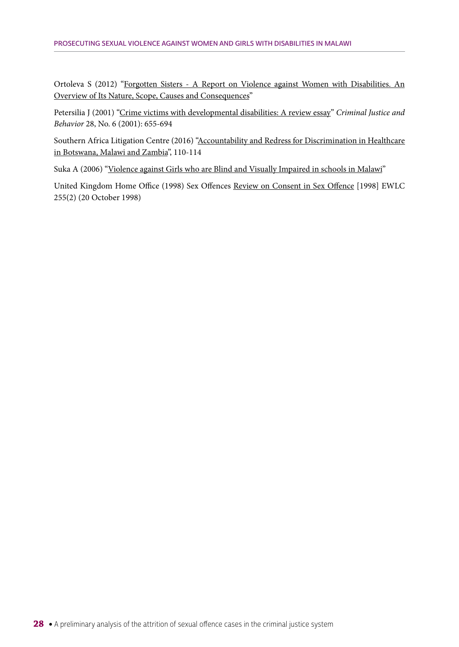Ortoleva S (2012) ["Forgotten Sisters - A Report on Violence against Women with Disabilities. An](http://womenenabled.org/pdfs/Ortoleva%20Stephanie%20%20Lewis%20Hope%20et%20al%20Forgotten%20Sisters%20-%20A%20Report%20on%20ViolenceAgainst%20Women%20%20Girls%20with%20Disabilities%20August%2020%202012.pdf) [Overview of Its Nature, Scope, Causes and Consequences"](http://womenenabled.org/pdfs/Ortoleva%20Stephanie%20%20Lewis%20Hope%20et%20al%20Forgotten%20Sisters%20-%20A%20Report%20on%20ViolenceAgainst%20Women%20%20Girls%20with%20Disabilities%20August%2020%202012.pdf)

Petersilia J (2001) "[Crime victims with developmental disabilities: A review essay](https://www.researchgate.net/publication/242423312_Crime_Victims_with_Developmental_DisabilitiesA_Review_Essay)" *Criminal Justice and Behavior* 28, No. 6 (2001): 655-694

Southern Africa Litigation Centre (2016) ["Accountability and Redress for Discrimination in Healthcare](http://www.southernafricalitigationcentre.org/2016/09/28/research-report-accountability-and-redress-for-discrimination-in-healthcare-in-botswana-malawi-and-zambia/) [in Botswana, Malawi and Zambia](http://www.southernafricalitigationcentre.org/2016/09/28/research-report-accountability-and-redress-for-discrimination-in-healthcare-in-botswana-malawi-and-zambia/)", 110-114

Suka A (2006) ["Violence against Girls who are Blind and Visually Impaired in schools in Malawi"](http://icevi.org/publications/icevi_wc2006/06_creating_educational_equity%20for%20women_and%20girls/Papers/afr_029_abigail%20suka.pdf)

United Kingdom Home Office (1998) Sex Offences [Review on Consent in Sex Offence](http://www.bailii.org/ew/other/EWLC/1998/255(2).html) [1998] EWLC 255(2) (20 October 1998)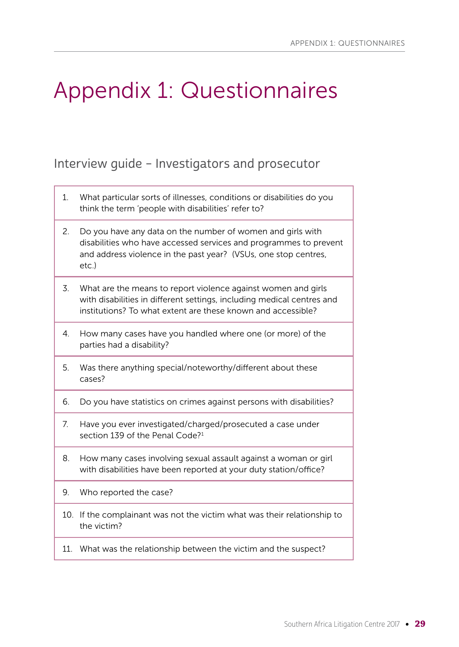# Appendix 1: Questionnaires

## Interview guide – Investigators and prosecutor

- 1. What particular sorts of illnesses, conditions or disabilities do you think the term 'people with disabilities' refer to?
- 2. Do you have any data on the number of women and girls with disabilities who have accessed services and programmes to prevent and address violence in the past year? (VSUs, one stop centres, etc.)
- 3. What are the means to report violence against women and girls with disabilities in different settings, including medical centres and institutions? To what extent are these known and accessible?
- 4. How many cases have you handled where one (or more) of the parties had a disability?
- 5. Was there anything special/noteworthy/different about these cases?
- 6. Do you have statistics on crimes against persons with disabilities?
- 7. Have you ever investigated/charged/prosecuted a case under section 139 of the Penal Code?<sup>1</sup>
- 8. How many cases involving sexual assault against a woman or girl with disabilities have been reported at your duty station/office?
- 9. Who reported the case?
- 10. If the complainant was not the victim what was their relationship to the victim?
- 11. What was the relationship between the victim and the suspect?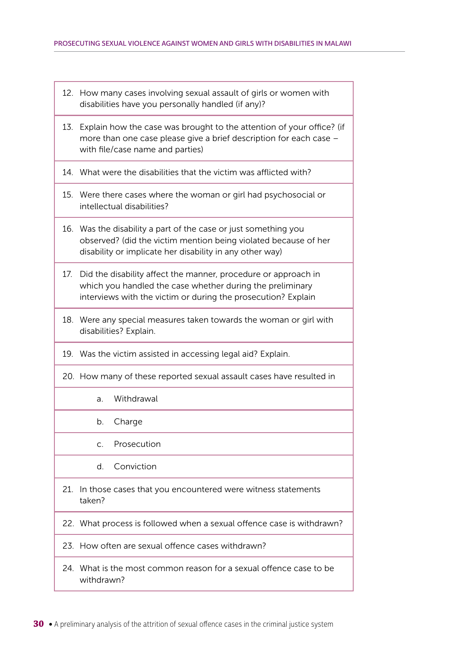- 12. How many cases involving sexual assault of girls or women with disabilities have you personally handled (if any)?
- 13. Explain how the case was brought to the attention of your office? (if more than one case please give a brief description for each case – with file/case name and parties)
- 14. What were the disabilities that the victim was afflicted with?
- 15. Were there cases where the woman or girl had psychosocial or intellectual disabilities?
- 16. Was the disability a part of the case or just something you observed? (did the victim mention being violated because of her disability or implicate her disability in any other way)
- 17. Did the disability affect the manner, procedure or approach in which you handled the case whether during the preliminary interviews with the victim or during the prosecution? Explain
- 18. Were any special measures taken towards the woman or girl with disabilities? Explain.
- 19. Was the victim assisted in accessing legal aid? Explain.
- 20. How many of these reported sexual assault cases have resulted in
	- a. Withdrawal
	- b. Charge
	- c. Prosecution
	- d. Conviction
- 21. In those cases that you encountered were witness statements taken?
- 22. What process is followed when a sexual offence case is withdrawn?
- 23. How often are sexual offence cases withdrawn?
- 24. What is the most common reason for a sexual offence case to be withdrawn?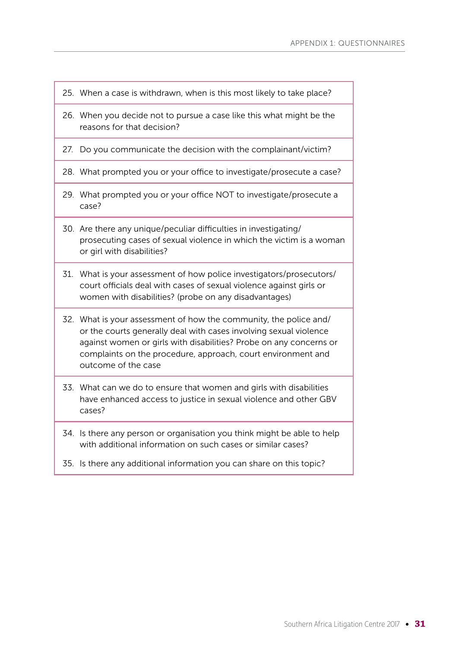- 25. When a case is withdrawn, when is this most likely to take place?
- 26. When you decide not to pursue a case like this what might be the reasons for that decision?
- 27. Do you communicate the decision with the complainant/victim?
- 28. What prompted you or your office to investigate/prosecute a case?
- 29. What prompted you or your office NOT to investigate/prosecute a case?
- 30. Are there any unique/peculiar difficulties in investigating/ prosecuting cases of sexual violence in which the victim is a woman or girl with disabilities?
- 31. What is your assessment of how police investigators/prosecutors/ court officials deal with cases of sexual violence against girls or women with disabilities? (probe on any disadvantages)
- 32. What is your assessment of how the community, the police and/ or the courts generally deal with cases involving sexual violence against women or girls with disabilities? Probe on any concerns or complaints on the procedure, approach, court environment and outcome of the case
- 33. What can we do to ensure that women and girls with disabilities have enhanced access to justice in sexual violence and other GBV cases?
- 34. Is there any person or organisation you think might be able to help with additional information on such cases or similar cases?
- 35. Is there any additional information you can share on this topic?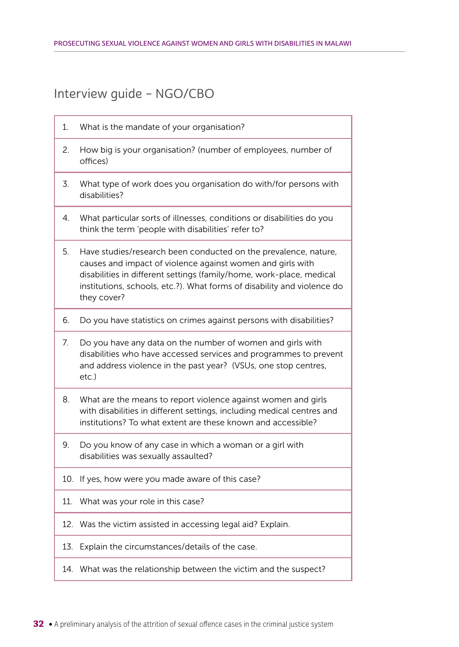## Interview guide – NGO/CBO

- 1. What is the mandate of your organisation? 2. How big is your organisation? (number of employees, number of offices) 3. What type of work does you organisation do with/for persons with disabilities? 4. What particular sorts of illnesses, conditions or disabilities do you think the term 'people with disabilities' refer to? 5. Have studies/research been conducted on the prevalence, nature, causes and impact of violence against women and girls with disabilities in different settings (family/home, work-place, medical institutions, schools, etc.?). What forms of disability and violence do they cover? 6. Do you have statistics on crimes against persons with disabilities? 7. Do you have any data on the number of women and girls with disabilities who have accessed services and programmes to prevent and address violence in the past year? (VSUs, one stop centres, etc.) 8. What are the means to report violence against women and girls with disabilities in different settings, including medical centres and institutions? To what extent are these known and accessible? 9. Do you know of any case in which a woman or a girl with disabilities was sexually assaulted? 10. If yes, how were you made aware of this case? 11. What was your role in this case? 12. Was the victim assisted in accessing legal aid? Explain. 13. Explain the circumstances/details of the case.
	- 14. What was the relationship between the victim and the suspect?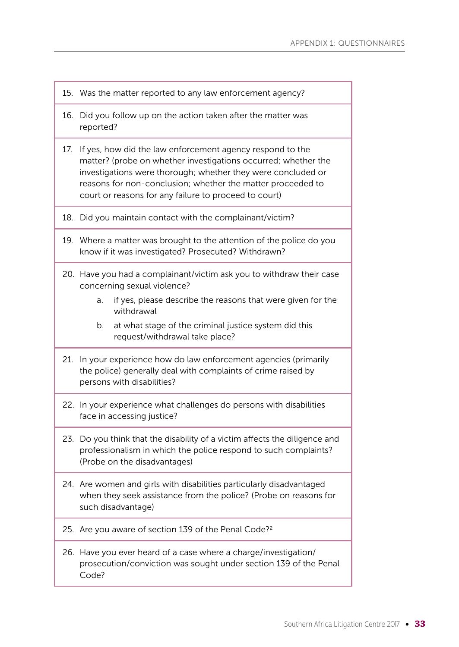- 15. Was the matter reported to any law enforcement agency?
- 16. Did you follow up on the action taken after the matter was reported?
- 17. If yes, how did the law enforcement agency respond to the matter? (probe on whether investigations occurred; whether the investigations were thorough; whether they were concluded or reasons for non-conclusion; whether the matter proceeded to court or reasons for any failure to proceed to court)
- 18. Did you maintain contact with the complainant/victim?
- 19. Where a matter was brought to the attention of the police do you know if it was investigated? Prosecuted? Withdrawn?
- 20. Have you had a complainant/victim ask you to withdraw their case concerning sexual violence?
	- a. if yes, please describe the reasons that were given for the withdrawal
	- b. at what stage of the criminal justice system did this request/withdrawal take place?
- 21. In your experience how do law enforcement agencies (primarily the police) generally deal with complaints of crime raised by persons with disabilities?
- 22. In your experience what challenges do persons with disabilities face in accessing justice?
- 23. Do you think that the disability of a victim affects the diligence and professionalism in which the police respond to such complaints? (Probe on the disadvantages)
- 24. Are women and girls with disabilities particularly disadvantaged when they seek assistance from the police? (Probe on reasons for such disadvantage)
- 25. Are you aware of section 139 of the Penal Code?<sup>2</sup>
- 26. Have you ever heard of a case where a charge/investigation/ prosecution/conviction was sought under section 139 of the Penal Code?